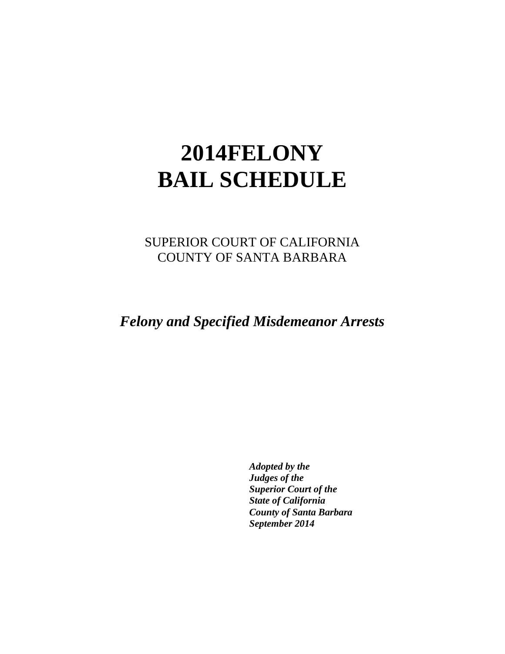# **2014FELONY BAIL SCHEDULE**

SUPERIOR COURT OF CALIFORNIA COUNTY OF SANTA BARBARA

*Felony and Specified Misdemeanor Arrests*

*Adopted by the Judges of the Superior Court of the State of California County of Santa Barbara September 2014*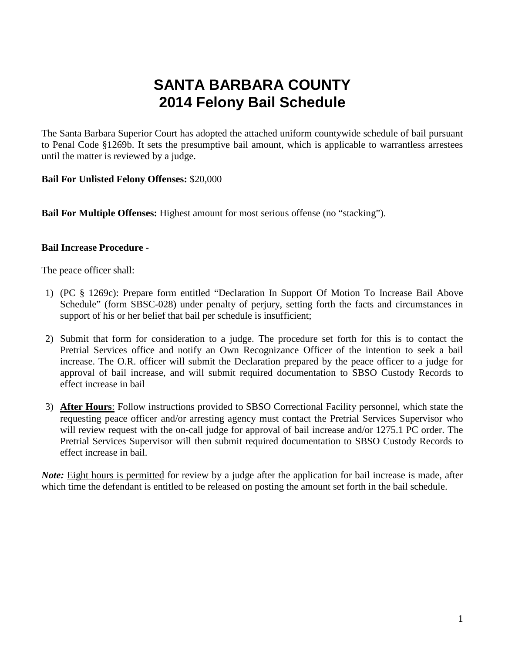# **SANTA BARBARA COUNTY 2014 Felony Bail Schedule**

The Santa Barbara Superior Court has adopted the attached uniform countywide schedule of bail pursuant to Penal Code §1269b. It sets the presumptive bail amount, which is applicable to warrantless arrestees until the matter is reviewed by a judge.

#### **Bail For Unlisted Felony Offenses:** \$20,000

**Bail For Multiple Offenses:** Highest amount for most serious offense (no "stacking").

#### **Bail Increase Procedure -**

The peace officer shall:

- 1) (PC § 1269c): Prepare form entitled "Declaration In Support Of Motion To Increase Bail Above Schedule" (form SBSC-028) under penalty of perjury, setting forth the facts and circumstances in support of his or her belief that bail per schedule is insufficient;
- 2) Submit that form for consideration to a judge. The procedure set forth for this is to contact the Pretrial Services office and notify an Own Recognizance Officer of the intention to seek a bail increase. The O.R. officer will submit the Declaration prepared by the peace officer to a judge for approval of bail increase, and will submit required documentation to SBSO Custody Records to effect increase in bail
- 3) **After Hours**: Follow instructions provided to SBSO Correctional Facility personnel, which state the requesting peace officer and/or arresting agency must contact the Pretrial Services Supervisor who will review request with the on-call judge for approval of bail increase and/or 1275.1 PC order. The Pretrial Services Supervisor will then submit required documentation to SBSO Custody Records to effect increase in bail.

*Note:* Eight hours is permitted for review by a judge after the application for bail increase is made, after which time the defendant is entitled to be released on posting the amount set forth in the bail schedule.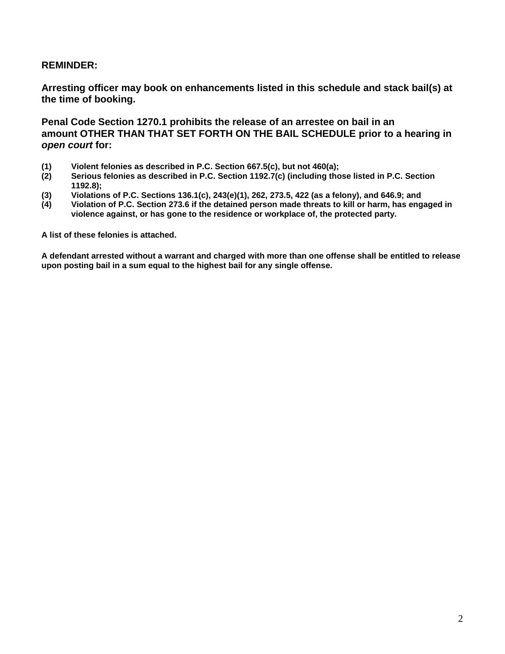#### **REMINDER:**

**Arresting officer may book on enhancements listed in this schedule and stack bail(s) at the time of booking.**

**Penal Code Section 1270.1 prohibits the release of an arrestee on bail in an amount OTHER THAN THAT SET FORTH ON THE BAIL SCHEDULE prior to a hearing in**  *open court* **for:**

- **(1) Violent felonies as described in P.C. Section 667.5(c), but not 460(a);**
- **(2) Serious felonies as described in P.C. Section 1192.7(c) (including those listed in P.C. Section 1192.8);**
- **(3) Violations of P.C. Sections 136.1(c), 243(e)(1), 262, 273.5, 422 (as a felony), and 646.9; and**
- **(4) Violation of P.C. Section 273.6 if the detained person made threats to kill or harm, has engaged in violence against, or has gone to the residence or workplace of, the protected party.**

**A list of these felonies is attached.**

**A defendant arrested without a warrant and charged with more than one offense shall be entitled to release upon posting bail in a sum equal to the highest bail for any single offense.**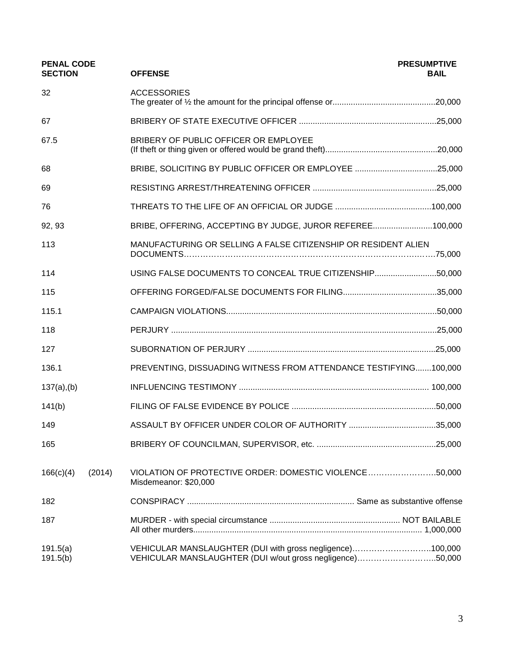| <b>PENAL CODE</b><br><b>SECTION</b> |        | <b>OFFENSE</b>                                                                                                         | <b>PRESUMPTIVE</b><br><b>BAIL</b> |
|-------------------------------------|--------|------------------------------------------------------------------------------------------------------------------------|-----------------------------------|
| 32                                  |        | <b>ACCESSORIES</b>                                                                                                     |                                   |
| 67                                  |        |                                                                                                                        |                                   |
| 67.5                                |        | BRIBERY OF PUBLIC OFFICER OR EMPLOYEE                                                                                  |                                   |
| 68                                  |        | BRIBE, SOLICITING BY PUBLIC OFFICER OR EMPLOYEE 25,000                                                                 |                                   |
| 69                                  |        |                                                                                                                        |                                   |
| 76                                  |        |                                                                                                                        |                                   |
| 92, 93                              |        | BRIBE, OFFERING, ACCEPTING BY JUDGE, JUROR REFEREE100,000                                                              |                                   |
| 113                                 |        | MANUFACTURING OR SELLING A FALSE CITIZENSHIP OR RESIDENT ALIEN                                                         |                                   |
| 114                                 |        | USING FALSE DOCUMENTS TO CONCEAL TRUE CITIZENSHIP50,000                                                                |                                   |
| 115                                 |        |                                                                                                                        |                                   |
| 115.1                               |        |                                                                                                                        |                                   |
| 118                                 |        |                                                                                                                        |                                   |
| 127                                 |        |                                                                                                                        |                                   |
| 136.1                               |        | PREVENTING, DISSUADING WITNESS FROM ATTENDANCE TESTIFYING100,000                                                       |                                   |
| $137(a)$ , (b)                      |        |                                                                                                                        |                                   |
| 141(b)                              |        |                                                                                                                        |                                   |
| 149                                 |        |                                                                                                                        |                                   |
| 165                                 |        |                                                                                                                        |                                   |
| 166(c)(4)                           | (2014) | VIOLATION OF PROTECTIVE ORDER: DOMESTIC VIOLENCE50,000<br>Misdemeanor: \$20,000                                        |                                   |
| 182                                 |        |                                                                                                                        |                                   |
| 187                                 |        |                                                                                                                        |                                   |
| 191.5(a)<br>191.5(b)                |        | VEHICULAR MANSLAUGHTER (DUI with gross negligence)100,000<br>VEHICULAR MANSLAUGHTER (DUI w/out gross negligence)50,000 |                                   |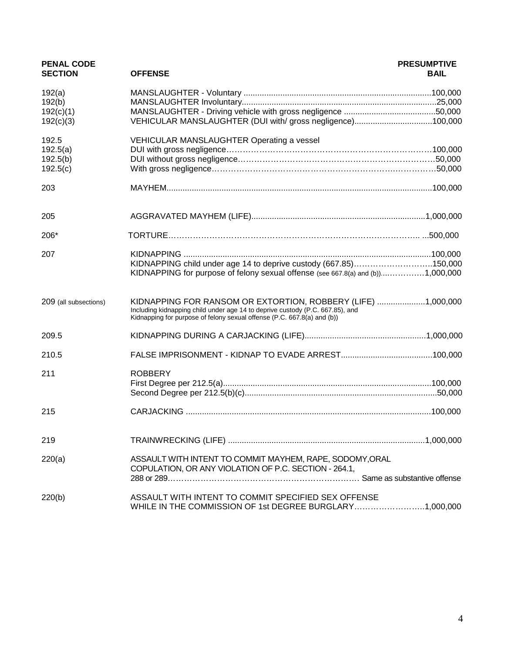| <b>PENAL CODE</b><br><b>SECTION</b> | <b>OFFENSE</b>                                                                                                                                                                                                           | <b>PRESUMPTIVE</b><br><b>BAIL</b> |
|-------------------------------------|--------------------------------------------------------------------------------------------------------------------------------------------------------------------------------------------------------------------------|-----------------------------------|
| 192(a)<br>192(b)<br>192(c)(1)       |                                                                                                                                                                                                                          |                                   |
| 192(c)(3)                           |                                                                                                                                                                                                                          |                                   |
| 192.5<br>192.5(a)                   | VEHICULAR MANSLAUGHTER Operating a vessel                                                                                                                                                                                |                                   |
| 192.5(b)<br>192.5(c)                |                                                                                                                                                                                                                          |                                   |
| 203                                 |                                                                                                                                                                                                                          |                                   |
| 205                                 |                                                                                                                                                                                                                          |                                   |
| 206*                                |                                                                                                                                                                                                                          |                                   |
| 207                                 | KIDNAPPING child under age 14 to deprive custody (667.85)150,000<br>KIDNAPPING for purpose of felony sexual offense (see 667.8(a) and (b))1,000,000                                                                      |                                   |
| 209 (all subsections)               | KIDNAPPING FOR RANSOM OR EXTORTION, ROBBERY (LIFE) 1,000,000<br>Including kidnapping child under age 14 to deprive custody (P.C. 667.85), and<br>Kidnapping for purpose of felony sexual offense (P.C. 667.8(a) and (b)) |                                   |
| 209.5                               |                                                                                                                                                                                                                          |                                   |
| 210.5                               |                                                                                                                                                                                                                          |                                   |
| 211                                 | <b>ROBBERY</b>                                                                                                                                                                                                           |                                   |
| 215                                 |                                                                                                                                                                                                                          |                                   |
| 219                                 |                                                                                                                                                                                                                          |                                   |
| 220(a)                              | ASSAULT WITH INTENT TO COMMIT MAYHEM, RAPE, SODOMY, ORAL<br>COPULATION, OR ANY VIOLATION OF P.C. SECTION - 264.1,                                                                                                        |                                   |
| 220(b)                              | ASSAULT WITH INTENT TO COMMIT SPECIFIED SEX OFFENSE<br>WHILE IN THE COMMISSION OF 1st DEGREE BURGLARY1,000,000                                                                                                           |                                   |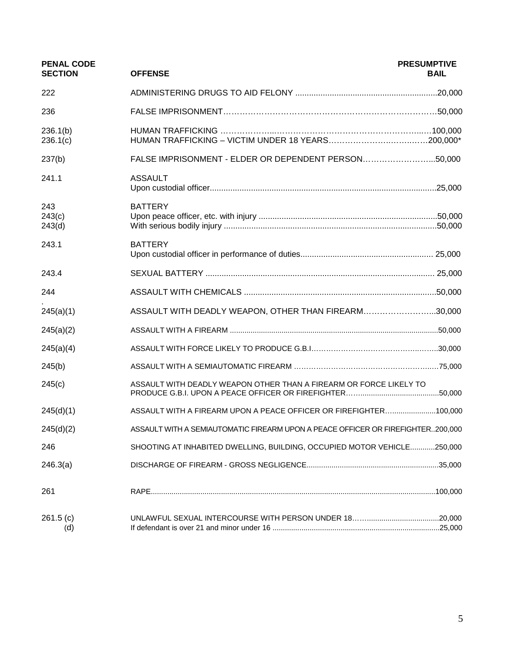| <b>PENAL CODE</b><br><b>SECTION</b> | <b>OFFENSE</b>                                                                  | <b>PRESUMPTIVE</b><br><b>BAIL</b> |
|-------------------------------------|---------------------------------------------------------------------------------|-----------------------------------|
| 222                                 |                                                                                 |                                   |
| 236                                 |                                                                                 |                                   |
| 236.1(b)<br>236.1(c)                |                                                                                 |                                   |
| 237(b)                              | FALSE IMPRISONMENT - ELDER OR DEPENDENT PERSON50,000                            |                                   |
| 241.1                               | <b>ASSAULT</b>                                                                  |                                   |
| 243<br>243(c)<br>243(d)             | <b>BATTERY</b>                                                                  |                                   |
| 243.1                               | <b>BATTERY</b>                                                                  |                                   |
| 243.4                               |                                                                                 |                                   |
| 244                                 |                                                                                 |                                   |
| 245(a)(1)                           | ASSAULT WITH DEADLY WEAPON, OTHER THAN FIREARM30,000                            |                                   |
| 245(a)(2)                           |                                                                                 |                                   |
| 245(a)(4)                           |                                                                                 |                                   |
| 245(b)                              |                                                                                 |                                   |
| 245(c)                              | ASSAULT WITH DEADLY WEAPON OTHER THAN A FIREARM OR FORCE LIKELY TO              |                                   |
| 245(d)(1)                           | ASSAULT WITH A FIREARM UPON A PEACE OFFICER OR FIREFIGHTER100,000               |                                   |
| 245(d)(2)                           | ASSAULT WITH A SEMIAUTOMATIC FIREARM UPON A PEACE OFFICER OR FIREFIGHTER200,000 |                                   |
| 246                                 | SHOOTING AT INHABITED DWELLING, BUILDING, OCCUPIED MOTOR VEHICLE250,000         |                                   |
| 246.3(a)                            |                                                                                 |                                   |
| 261                                 |                                                                                 |                                   |
| 261.5(c)<br>(d)                     |                                                                                 |                                   |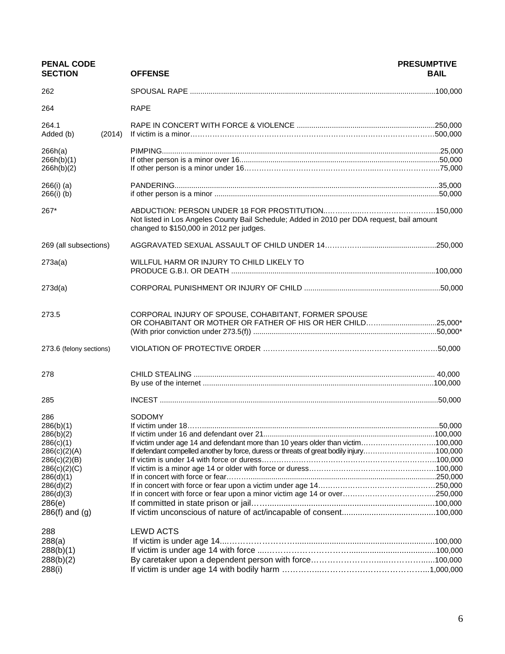| <b>PENAL CODE</b><br><b>SECTION</b>                                                                                                                               | <b>OFFENSE</b>                                                                                                                                                                         | <b>PRESUMPTIVE</b><br><b>BAIL</b> |
|-------------------------------------------------------------------------------------------------------------------------------------------------------------------|----------------------------------------------------------------------------------------------------------------------------------------------------------------------------------------|-----------------------------------|
| 262                                                                                                                                                               |                                                                                                                                                                                        |                                   |
| 264                                                                                                                                                               | <b>RAPE</b>                                                                                                                                                                            |                                   |
| 264.1<br>(2014)<br>Added (b)                                                                                                                                      |                                                                                                                                                                                        |                                   |
| 266h(a)<br>266h(b)(1)<br>266h(b)(2)                                                                                                                               |                                                                                                                                                                                        |                                   |
| $266(i)$ (a)<br>$266(i)$ (b)                                                                                                                                      |                                                                                                                                                                                        |                                   |
| 267*                                                                                                                                                              | Not listed in Los Angeles County Bail Schedule; Added in 2010 per DDA request, bail amount<br>changed to \$150,000 in 2012 per judges.                                                 |                                   |
| 269 (all subsections)                                                                                                                                             |                                                                                                                                                                                        |                                   |
| 273a(a)                                                                                                                                                           | WILLFUL HARM OR INJURY TO CHILD LIKELY TO                                                                                                                                              |                                   |
| 273d(a)                                                                                                                                                           |                                                                                                                                                                                        |                                   |
| 273.5                                                                                                                                                             | CORPORAL INJURY OF SPOUSE, COHABITANT, FORMER SPOUSE<br>OR COHABITANT OR MOTHER OR FATHER OF HIS OR HER CHILD25,000*                                                                   |                                   |
| 273.6 (felony sections)                                                                                                                                           |                                                                                                                                                                                        |                                   |
| 278                                                                                                                                                               |                                                                                                                                                                                        |                                   |
| 285                                                                                                                                                               |                                                                                                                                                                                        |                                   |
| 286<br>286(b)(1)<br>286(b)(2)<br>286(c)(1)<br>286(c)(2)(A)<br>286(c)(2)(B)<br>286(c)(2)(C)<br>286(d)(1)<br>286(d)(2)<br>286(d)(3)<br>286(e)<br>$286(f)$ and $(g)$ | SODOMY<br>If victim under age 14 and defendant more than 10 years older than victim100,000<br>If defendant compelled another by force, duress or threats of great bodily injury100,000 |                                   |
| 288<br>288(a)<br>288(b)(1)<br>288(b)(2)<br>288(i)                                                                                                                 | <b>LEWD ACTS</b>                                                                                                                                                                       |                                   |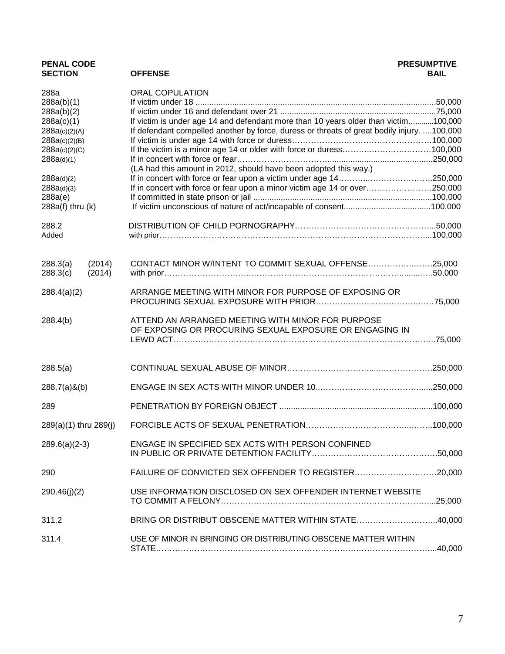| <b>PENAL CODE</b><br><b>SECTION</b> | <b>OFFENSE</b>                                                                                               | <b>PRESUMPTIVE</b><br><b>BAIL</b> |
|-------------------------------------|--------------------------------------------------------------------------------------------------------------|-----------------------------------|
| 288a                                | <b>ORAL COPULATION</b>                                                                                       |                                   |
| 288a(b)(1)                          |                                                                                                              |                                   |
| 288a(b)(2)                          |                                                                                                              |                                   |
| 288a(c)(1)                          | If victim is under age 14 and defendant more than 10 years older than victim100,000                          |                                   |
| 288a(c)(2)(A)                       | If defendant compelled another by force, duress or threats of great bodily injury. 100,000                   |                                   |
| 288a(c)(2)(B)<br>288a(c)(2)(C)      | If the victim is a minor age 14 or older with force or duress100,000                                         |                                   |
| 288a(d)(1)                          |                                                                                                              |                                   |
|                                     | (LA had this amount in 2012, should have been adopted this way.)                                             |                                   |
| 288a(d)(2)                          |                                                                                                              |                                   |
| 288a(d)(3)                          | If in concert with force or fear upon a minor victim age 14 or over250,000                                   |                                   |
| 288a(e)                             |                                                                                                              |                                   |
| $288a(f)$ thru $(k)$                |                                                                                                              |                                   |
| 288.2                               |                                                                                                              |                                   |
| Added                               |                                                                                                              |                                   |
| (2014)<br>288.3(a)                  | CONTACT MINOR W/INTENT TO COMMIT SEXUAL OFFENSE25,000                                                        |                                   |
| 288.3(c)<br>(2014)                  |                                                                                                              |                                   |
| 288.4(a)(2)                         | ARRANGE MEETING WITH MINOR FOR PURPOSE OF EXPOSING OR                                                        |                                   |
| 288.4(b)                            | ATTEND AN ARRANGED MEETING WITH MINOR FOR PURPOSE<br>OF EXPOSING OR PROCURING SEXUAL EXPOSURE OR ENGAGING IN |                                   |
| 288.5(a)                            |                                                                                                              |                                   |
| $288.7(a)$ &(b)                     |                                                                                                              |                                   |
| 289                                 |                                                                                                              |                                   |
| 289(a)(1) thru 289(j)               |                                                                                                              |                                   |
| $289.6(a)(2-3)$                     | ENGAGE IN SPECIFIED SEX ACTS WITH PERSON CONFINED                                                            |                                   |
| 290                                 | FAILURE OF CONVICTED SEX OFFENDER TO REGISTER                                                                | .20,000                           |
| 290.46(j)(2)                        | USE INFORMATION DISCLOSED ON SEX OFFENDER INTERNET WEBSITE                                                   | .25,000                           |
| 311.2                               | BRING OR DISTRIBUT OBSCENE MATTER WITHIN STATE40,000                                                         |                                   |
| 311.4                               | USE OF MINOR IN BRINGING OR DISTRIBUTING OBSCENE MATTER WITHIN                                               |                                   |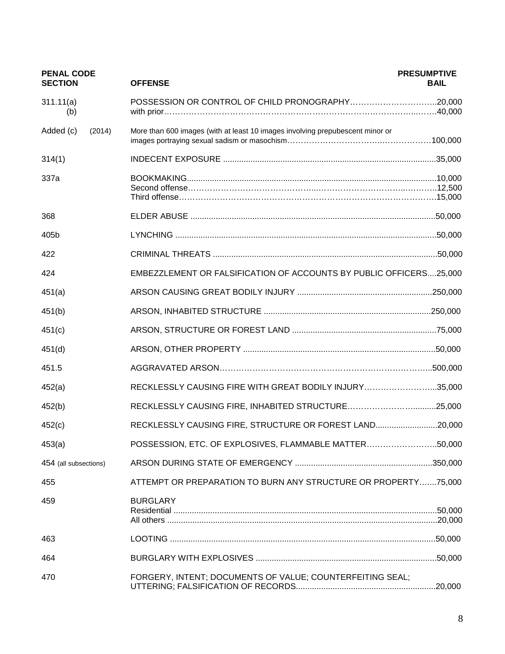| <b>PENAL CODE</b><br><b>SECTION</b> | <b>OFFENSE</b>                                                                | <b>PRESUMPTIVE</b><br><b>BAIL</b> |
|-------------------------------------|-------------------------------------------------------------------------------|-----------------------------------|
| 311.11(a)<br>(b)                    | POSSESSION OR CONTROL OF CHILD PRONOGRAPHY20,000                              |                                   |
| Added (c)<br>(2014)                 | More than 600 images (with at least 10 images involving prepubescent minor or |                                   |
| 314(1)                              |                                                                               |                                   |
| 337a                                |                                                                               |                                   |
| 368                                 |                                                                               |                                   |
| 405b                                |                                                                               |                                   |
| 422                                 |                                                                               |                                   |
| 424                                 | EMBEZZLEMENT OR FALSIFICATION OF ACCOUNTS BY PUBLIC OFFICERS25,000            |                                   |
| 451(a)                              |                                                                               |                                   |
| 451(b)                              |                                                                               |                                   |
| 451(c)                              |                                                                               |                                   |
| 451(d)                              |                                                                               |                                   |
| 451.5                               |                                                                               |                                   |
| 452(a)                              | RECKLESSLY CAUSING FIRE WITH GREAT BODILY INJURY35,000                        |                                   |
| 452(b)                              |                                                                               |                                   |
| 452(c)                              | RECKLESSLY CAUSING FIRE, STRUCTURE OR FOREST LAND20,000                       |                                   |
| 453(a)                              | POSSESSION, ETC. OF EXPLOSIVES, FLAMMABLE MATTER50,000                        |                                   |
| 454 (all subsections)               |                                                                               |                                   |
| 455                                 | ATTEMPT OR PREPARATION TO BURN ANY STRUCTURE OR PROPERTY75,000                |                                   |
| 459                                 | <b>BURGLARY</b>                                                               |                                   |
| 463                                 |                                                                               | .50,000                           |
| 464                                 |                                                                               | .50,000                           |
| 470                                 | FORGERY, INTENT; DOCUMENTS OF VALUE; COUNTERFEITING SEAL;                     |                                   |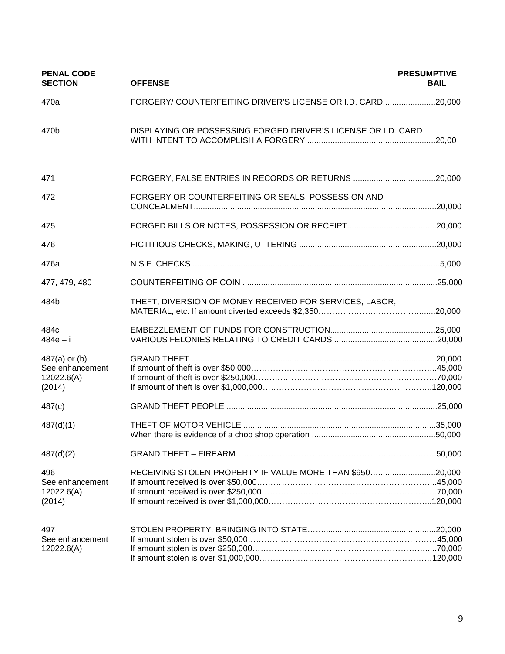| <b>PENAL CODE</b><br><b>SECTION</b>                        | <b>OFFENSE</b>                                                | <b>PRESUMPTIVE</b><br><b>BAIL</b> |
|------------------------------------------------------------|---------------------------------------------------------------|-----------------------------------|
| 470a                                                       | FORGERY/ COUNTERFEITING DRIVER'S LICENSE OR I.D. CARD20,000   |                                   |
| 470b                                                       | DISPLAYING OR POSSESSING FORGED DRIVER'S LICENSE OR I.D. CARD | .20,00                            |
| 471                                                        | FORGERY, FALSE ENTRIES IN RECORDS OR RETURNS 20,000           |                                   |
| 472                                                        | FORGERY OR COUNTERFEITING OR SEALS; POSSESSION AND            |                                   |
| 475                                                        |                                                               |                                   |
| 476                                                        |                                                               |                                   |
| 476a                                                       |                                                               |                                   |
| 477, 479, 480                                              |                                                               |                                   |
| 484b                                                       | THEFT, DIVERSION OF MONEY RECEIVED FOR SERVICES, LABOR,       |                                   |
| 484c<br>$484e - i$                                         |                                                               |                                   |
| $487(a)$ or (b)<br>See enhancement<br>12022.6(A)<br>(2014) |                                                               |                                   |
| 487(c)                                                     |                                                               |                                   |
| 487(d)(1)                                                  |                                                               |                                   |
| 487(d)(2)                                                  |                                                               |                                   |
| 496<br>See enhancement<br>12022.6(A)<br>(2014)             | RECEIVING STOLEN PROPERTY IF VALUE MORE THAN \$95020,000      |                                   |
| 497<br>See enhancement<br>12022.6(A)                       |                                                               |                                   |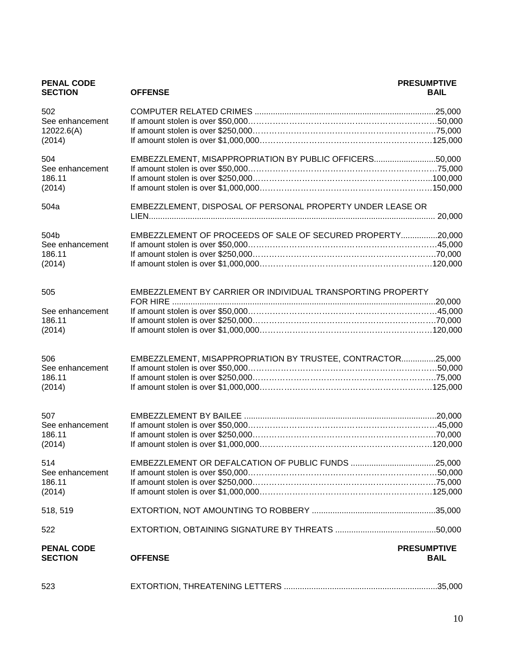| <b>PENAL CODE</b><br><b>SECTION</b> | <b>OFFENSE</b>                                              | <b>PRESUMPTIVE</b><br><b>BAIL</b> |
|-------------------------------------|-------------------------------------------------------------|-----------------------------------|
| 502                                 |                                                             |                                   |
| See enhancement                     |                                                             |                                   |
| 12022.6(A)                          |                                                             |                                   |
| (2014)                              |                                                             |                                   |
| 504                                 | EMBEZZLEMENT, MISAPPROPRIATION BY PUBLIC OFFICERS50,000     |                                   |
| See enhancement                     |                                                             |                                   |
| 186.11                              |                                                             |                                   |
| (2014)                              |                                                             |                                   |
| 504a                                | EMBEZZLEMENT, DISPOSAL OF PERSONAL PROPERTY UNDER LEASE OR  |                                   |
|                                     | EMBEZZLEMENT OF PROCEEDS OF SALE OF SECURED PROPERTY20,000  |                                   |
| 504b<br>See enhancement             |                                                             |                                   |
| 186.11                              |                                                             |                                   |
| (2014)                              |                                                             |                                   |
|                                     |                                                             |                                   |
| 505                                 | EMBEZZLEMENT BY CARRIER OR INDIVIDUAL TRANSPORTING PROPERTY |                                   |
|                                     |                                                             |                                   |
| See enhancement                     |                                                             |                                   |
| 186.11                              |                                                             |                                   |
| (2014)                              |                                                             |                                   |
| 506                                 | EMBEZZLEMENT, MISAPPROPRIATION BY TRUSTEE, CONTRACTOR25,000 |                                   |
| See enhancement                     |                                                             |                                   |
| 186.11                              |                                                             |                                   |
| (2014)                              |                                                             |                                   |
|                                     |                                                             |                                   |
| 507                                 |                                                             |                                   |
| See enhancement                     |                                                             |                                   |
| 186.11                              |                                                             |                                   |
| (2014)                              |                                                             |                                   |
| 514                                 |                                                             |                                   |
| See enhancement                     |                                                             |                                   |
| 186.11                              |                                                             |                                   |
| (2014)                              |                                                             |                                   |
| 518, 519                            |                                                             |                                   |
| 522                                 |                                                             |                                   |
| <b>PENAL CODE</b><br><b>SECTION</b> | <b>OFFENSE</b>                                              | <b>PRESUMPTIVE</b><br><b>BAIL</b> |
| 523                                 |                                                             |                                   |
|                                     |                                                             |                                   |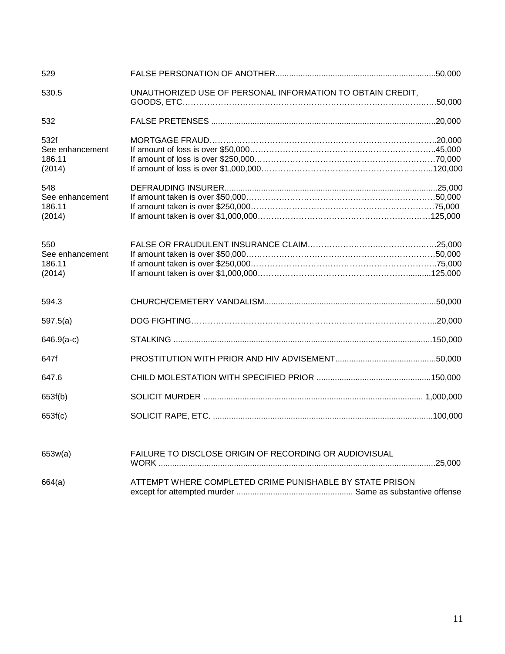| 529                                         |                                                            |  |
|---------------------------------------------|------------------------------------------------------------|--|
| 530.5                                       | UNAUTHORIZED USE OF PERSONAL INFORMATION TO OBTAIN CREDIT, |  |
| 532                                         |                                                            |  |
| 532f<br>See enhancement<br>186.11<br>(2014) |                                                            |  |
| 548<br>See enhancement<br>186.11<br>(2014)  |                                                            |  |
| 550<br>See enhancement<br>186.11<br>(2014)  |                                                            |  |
| 594.3                                       |                                                            |  |
| 597.5(a)                                    |                                                            |  |
| $646.9(a-c)$                                |                                                            |  |
| 647f                                        |                                                            |  |
| 647.6                                       |                                                            |  |
| 653f(b)                                     |                                                            |  |
| 653f(c)                                     |                                                            |  |
| 653w(a)                                     | FAILURE TO DISCLOSE ORIGIN OF RECORDING OR AUDIOVISUAL     |  |
| 664(a)                                      | ATTEMPT WHERE COMPLETED CRIME PUNISHABLE BY STATE PRISON   |  |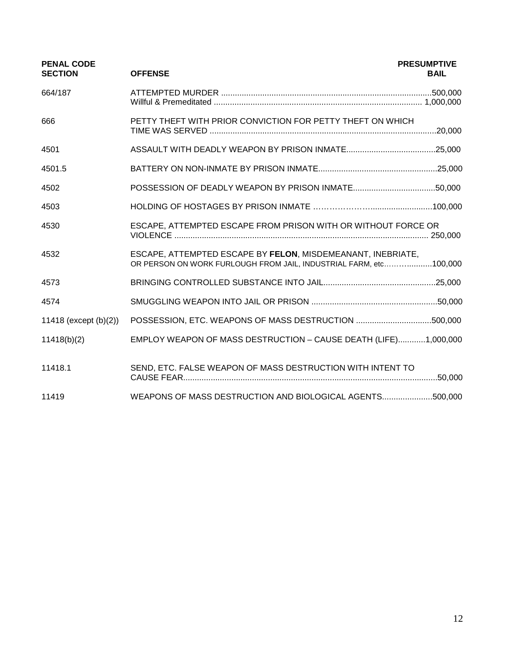| <b>PENAL CODE</b><br><b>SECTION</b> | <b>OFFENSE</b>                                                                                                                   | <b>PRESUMPTIVE</b><br><b>BAIL</b> |
|-------------------------------------|----------------------------------------------------------------------------------------------------------------------------------|-----------------------------------|
| 664/187                             |                                                                                                                                  |                                   |
| 666                                 | PETTY THEFT WITH PRIOR CONVICTION FOR PETTY THEFT ON WHICH                                                                       |                                   |
| 4501                                |                                                                                                                                  |                                   |
| 4501.5                              |                                                                                                                                  |                                   |
| 4502                                |                                                                                                                                  |                                   |
| 4503                                |                                                                                                                                  |                                   |
| 4530                                | ESCAPE, ATTEMPTED ESCAPE FROM PRISON WITH OR WITHOUT FORCE OR                                                                    |                                   |
| 4532                                | ESCAPE, ATTEMPTED ESCAPE BY FELON, MISDEMEANANT, INEBRIATE,<br>OR PERSON ON WORK FURLOUGH FROM JAIL, INDUSTRIAL FARM, etc100,000 |                                   |
| 4573                                |                                                                                                                                  |                                   |
| 4574                                |                                                                                                                                  |                                   |
| 11418 (except $(b)(2)$ )            |                                                                                                                                  |                                   |
| 11418(b)(2)                         | EMPLOY WEAPON OF MASS DESTRUCTION - CAUSE DEATH (LIFE)1,000,000                                                                  |                                   |
| 11418.1                             | SEND, ETC. FALSE WEAPON OF MASS DESTRUCTION WITH INTENT TO                                                                       |                                   |
| 11419                               | WEAPONS OF MASS DESTRUCTION AND BIOLOGICAL AGENTS500,000                                                                         |                                   |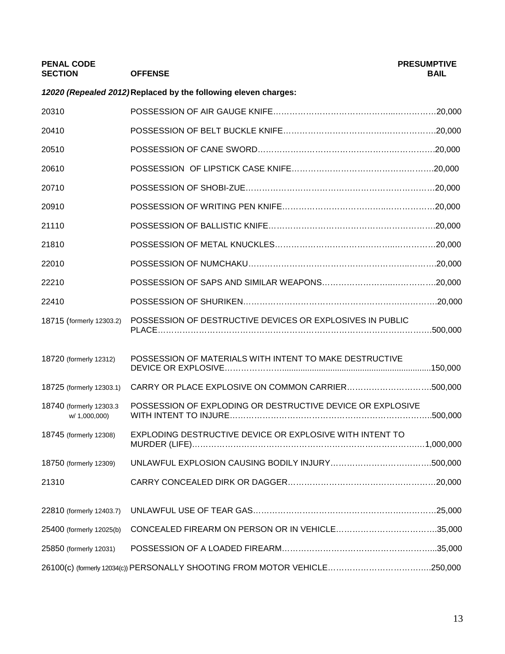| <b>PENAL CODE</b><br><b>SECTION</b>       | <b>OFFENSE</b>                                                  | <b>PRESUMPTIVE</b><br><b>BAIL</b> |
|-------------------------------------------|-----------------------------------------------------------------|-----------------------------------|
|                                           | 12020 (Repealed 2012) Replaced by the following eleven charges: |                                   |
| 20310                                     |                                                                 |                                   |
| 20410                                     |                                                                 |                                   |
| 20510                                     |                                                                 |                                   |
| 20610                                     |                                                                 |                                   |
| 20710                                     |                                                                 |                                   |
| 20910                                     |                                                                 |                                   |
| 21110                                     |                                                                 |                                   |
| 21810                                     |                                                                 |                                   |
| 22010                                     |                                                                 |                                   |
| 22210                                     |                                                                 |                                   |
| 22410                                     |                                                                 |                                   |
| 18715 (formerly 12303.2)                  | POSSESSION OF DESTRUCTIVE DEVICES OR EXPLOSIVES IN PUBLIC       | .500,000                          |
| 18720 (formerly 12312)                    | POSSESSION OF MATERIALS WITH INTENT TO MAKE DESTRUCTIVE         |                                   |
| 18725 (formerly 12303.1)                  |                                                                 |                                   |
| 18740 (formerly 12303.3)<br>w/ 1.000.000) | POSSESSION OF EXPLODING OR DESTRUCTIVE DEVICE OR EXPLOSIVE      |                                   |
| 18745 (formerly 12308)                    | EXPLODING DESTRUCTIVE DEVICE OR EXPLOSIVE WITH INTENT TO        |                                   |
| 18750 (formerly 12309)                    |                                                                 |                                   |
| 21310                                     |                                                                 |                                   |
| 22810 (formerly 12403.7)                  |                                                                 |                                   |
| 25400 (formerly 12025(b)                  |                                                                 |                                   |
| 25850 (formerly 12031)                    |                                                                 |                                   |
|                                           |                                                                 |                                   |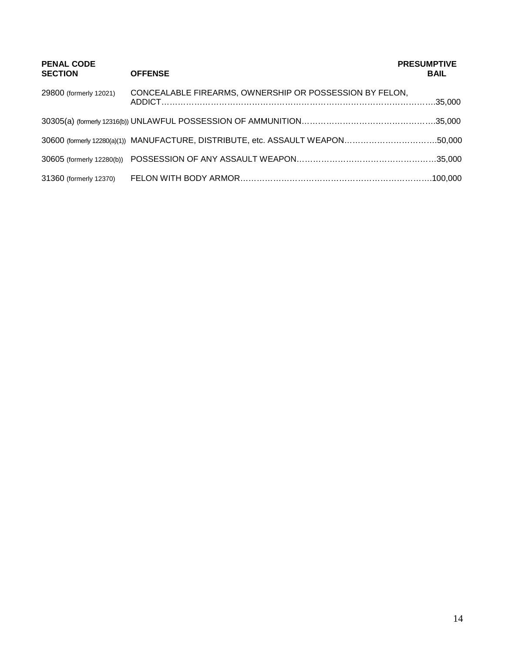| <b>PENAL CODE</b><br><b>SECTION</b> | <b>OFFENSE</b>                                                                  | <b>PRESUMPTIVE</b><br><b>BAIL</b> |
|-------------------------------------|---------------------------------------------------------------------------------|-----------------------------------|
| 29800 (formerly 12021)              | CONCEALABLE FIREARMS, OWNERSHIP OR POSSESSION BY FELON,                         |                                   |
|                                     |                                                                                 |                                   |
|                                     | 30600 (formerly 12280(a)(1)) MANUFACTURE, DISTRIBUTE, etc. ASSAULT WEAPON50,000 |                                   |
|                                     |                                                                                 |                                   |
| 31360 (formerly 12370)              |                                                                                 |                                   |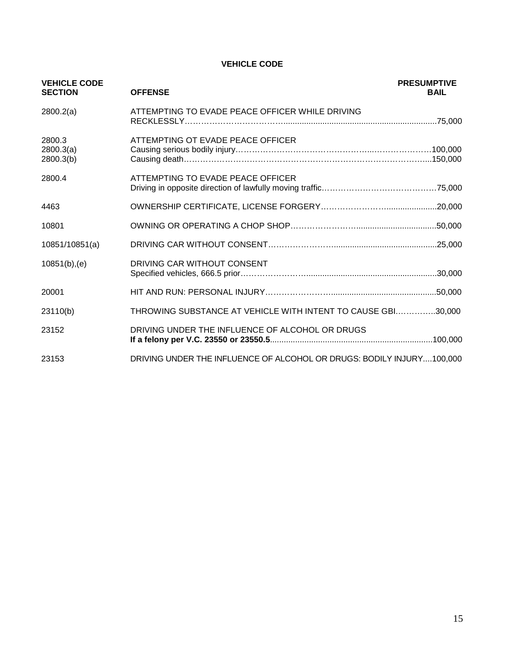#### **VEHICLE CODE**

| <b>VEHICLE CODE</b><br><b>SECTION</b> | <b>OFFENSE</b>                                                        | <b>PRESUMPTIVE</b><br><b>BAIL</b> |
|---------------------------------------|-----------------------------------------------------------------------|-----------------------------------|
| 2800.2(a)                             | ATTEMPTING TO EVADE PEACE OFFICER WHILE DRIVING                       |                                   |
| 2800.3<br>2800.3(a)<br>2800.3(b)      | ATTEMPTING OT EVADE PEACE OFFICER                                     |                                   |
| 2800.4                                | ATTEMPTING TO EVADE PEACE OFFICER                                     |                                   |
| 4463                                  |                                                                       |                                   |
| 10801                                 |                                                                       |                                   |
| 10851/10851(a)                        |                                                                       |                                   |
| $10851(b)$ , (e)                      | DRIVING CAR WITHOUT CONSENT                                           |                                   |
| 20001                                 |                                                                       | .50,000                           |
| 23110(b)                              | THROWING SUBSTANCE AT VEHICLE WITH INTENT TO CAUSE GBI30,000          |                                   |
| 23152                                 | DRIVING UNDER THE INFLUENCE OF ALCOHOL OR DRUGS                       |                                   |
| 23153                                 | DRIVING UNDER THE INFLUENCE OF ALCOHOL OR DRUGS: BODILY INJURY100,000 |                                   |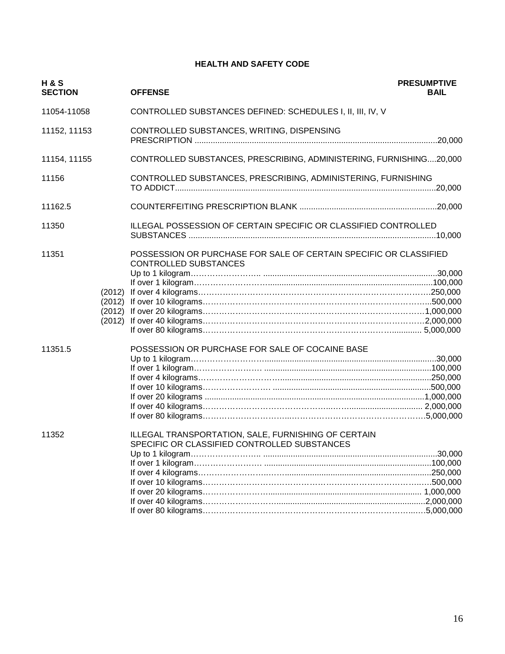#### **HEALTH AND SAFETY CODE**

| <b>H&amp;S</b><br><b>SECTION</b> |                                      | <b>OFFENSE</b>                                                                                      | <b>PRESUMPTIVE</b><br><b>BAIL</b> |
|----------------------------------|--------------------------------------|-----------------------------------------------------------------------------------------------------|-----------------------------------|
| 11054-11058                      |                                      | CONTROLLED SUBSTANCES DEFINED: SCHEDULES I, II, III, IV, V                                          |                                   |
| 11152, 11153                     |                                      | CONTROLLED SUBSTANCES, WRITING, DISPENSING                                                          |                                   |
| 11154, 11155                     |                                      | CONTROLLED SUBSTANCES, PRESCRIBING, ADMINISTERING, FURNISHING20,000                                 |                                   |
| 11156                            |                                      | CONTROLLED SUBSTANCES, PRESCRIBING, ADMINISTERING, FURNISHING                                       |                                   |
| 11162.5                          |                                      |                                                                                                     |                                   |
| 11350                            |                                      | ILLEGAL POSSESSION OF CERTAIN SPECIFIC OR CLASSIFIED CONTROLLED                                     |                                   |
| 11351                            | (2012)<br>(2012)<br>(2012)<br>(2012) | POSSESSION OR PURCHASE FOR SALE OF CERTAIN SPECIFIC OR CLASSIFIED<br><b>CONTROLLED SUBSTANCES</b>   |                                   |
| 11351.5                          |                                      | POSSESSION OR PURCHASE FOR SALE OF COCAINE BASE                                                     |                                   |
| 11352                            |                                      | ILLEGAL TRANSPORTATION, SALE, FURNISHING OF CERTAIN<br>SPECIFIC OR CLASSIFIED CONTROLLED SUBSTANCES |                                   |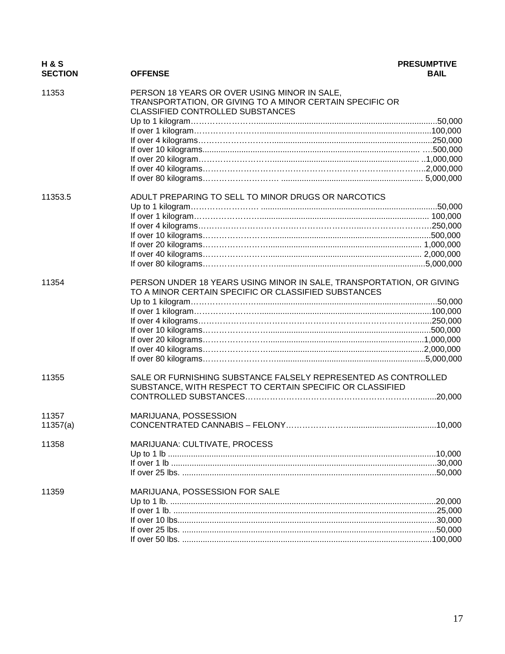| H & S<br><b>SECTION</b> | <b>OFFENSE</b>                                                                                                                               | <b>PRESUMPTIVE</b><br><b>BAIL</b> |
|-------------------------|----------------------------------------------------------------------------------------------------------------------------------------------|-----------------------------------|
| 11353                   | PERSON 18 YEARS OR OVER USING MINOR IN SALE,<br>TRANSPORTATION, OR GIVING TO A MINOR CERTAIN SPECIFIC OR<br>CLASSIFIED CONTROLLED SUBSTANCES |                                   |
|                         |                                                                                                                                              |                                   |
|                         |                                                                                                                                              |                                   |
|                         |                                                                                                                                              |                                   |
|                         |                                                                                                                                              |                                   |
|                         |                                                                                                                                              |                                   |
|                         |                                                                                                                                              |                                   |
|                         |                                                                                                                                              |                                   |
| 11353.5                 | ADULT PREPARING TO SELL TO MINOR DRUGS OR NARCOTICS                                                                                          |                                   |
|                         |                                                                                                                                              |                                   |
|                         |                                                                                                                                              |                                   |
|                         |                                                                                                                                              |                                   |
|                         |                                                                                                                                              |                                   |
|                         |                                                                                                                                              |                                   |
|                         |                                                                                                                                              |                                   |
|                         |                                                                                                                                              |                                   |
| 11354                   | PERSON UNDER 18 YEARS USING MINOR IN SALE, TRANSPORTATION, OR GIVING<br>TO A MINOR CERTAIN SPECIFIC OR CLASSIFIED SUBSTANCES                 |                                   |
|                         |                                                                                                                                              |                                   |
|                         |                                                                                                                                              |                                   |
|                         |                                                                                                                                              |                                   |
|                         |                                                                                                                                              |                                   |
|                         |                                                                                                                                              |                                   |
|                         |                                                                                                                                              |                                   |
|                         |                                                                                                                                              |                                   |
| 11355                   | SALE OR FURNISHING SUBSTANCE FALSELY REPRESENTED AS CONTROLLED<br>SUBSTANCE, WITH RESPECT TO CERTAIN SPECIFIC OR CLASSIFIED                  |                                   |
|                         |                                                                                                                                              |                                   |
|                         |                                                                                                                                              |                                   |
| 11357                   | MARIJUANA, POSSESSION                                                                                                                        |                                   |
| 11357(a)                |                                                                                                                                              |                                   |
| 11358                   | MARIJUANA: CULTIVATE, PROCESS                                                                                                                |                                   |
|                         |                                                                                                                                              |                                   |
|                         |                                                                                                                                              |                                   |
|                         |                                                                                                                                              |                                   |
| 11359                   | MARIJUANA, POSSESSION FOR SALE                                                                                                               |                                   |
|                         |                                                                                                                                              |                                   |
|                         |                                                                                                                                              |                                   |
|                         |                                                                                                                                              |                                   |
|                         |                                                                                                                                              |                                   |
|                         |                                                                                                                                              |                                   |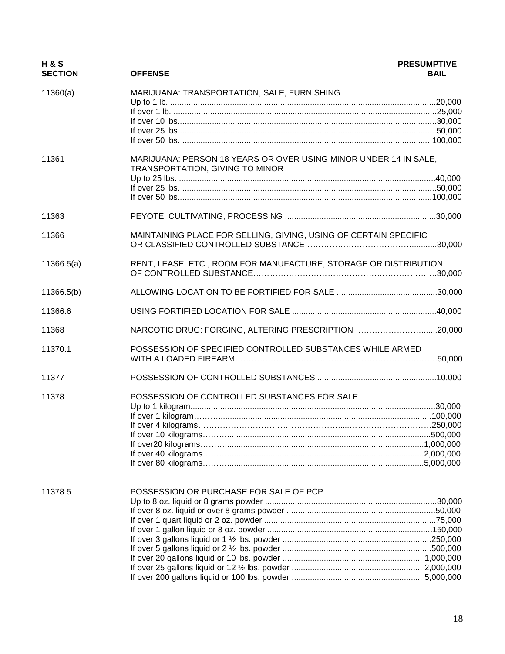| <b>H&amp;S</b><br><b>SECTION</b> | <b>OFFENSE</b>                                                                                      | <b>PRESUMPTIVE</b><br><b>BAIL</b> |
|----------------------------------|-----------------------------------------------------------------------------------------------------|-----------------------------------|
| 11360(a)                         | MARIJUANA: TRANSPORTATION, SALE, FURNISHING                                                         |                                   |
|                                  |                                                                                                     |                                   |
|                                  |                                                                                                     |                                   |
|                                  |                                                                                                     |                                   |
|                                  |                                                                                                     |                                   |
|                                  |                                                                                                     |                                   |
| 11361                            | MARIJUANA: PERSON 18 YEARS OR OVER USING MINOR UNDER 14 IN SALE,<br>TRANSPORTATION, GIVING TO MINOR |                                   |
|                                  |                                                                                                     |                                   |
|                                  |                                                                                                     |                                   |
|                                  |                                                                                                     |                                   |
| 11363                            |                                                                                                     |                                   |
| 11366                            | MAINTAINING PLACE FOR SELLING, GIVING, USING OF CERTAIN SPECIFIC                                    |                                   |
| 11366.5(a)                       | RENT, LEASE, ETC., ROOM FOR MANUFACTURE, STORAGE OR DISTRIBUTION                                    |                                   |
| 11366.5(b)                       |                                                                                                     |                                   |
| 11366.6                          |                                                                                                     |                                   |
| 11368                            | NARCOTIC DRUG: FORGING, ALTERING PRESCRIPTION 20,000                                                |                                   |
| 11370.1                          | POSSESSION OF SPECIFIED CONTROLLED SUBSTANCES WHILE ARMED                                           |                                   |
| 11377                            |                                                                                                     |                                   |
| 11378                            | POSSESSION OF CONTROLLED SUBSTANCES FOR SALE                                                        |                                   |
|                                  |                                                                                                     |                                   |
|                                  |                                                                                                     |                                   |
|                                  |                                                                                                     |                                   |
|                                  |                                                                                                     |                                   |
|                                  |                                                                                                     |                                   |
|                                  |                                                                                                     |                                   |
|                                  |                                                                                                     |                                   |
| 11378.5                          | POSSESSION OR PURCHASE FOR SALE OF PCP                                                              |                                   |
|                                  |                                                                                                     |                                   |
|                                  |                                                                                                     |                                   |
|                                  |                                                                                                     |                                   |
|                                  |                                                                                                     |                                   |
|                                  |                                                                                                     |                                   |
|                                  |                                                                                                     |                                   |
|                                  |                                                                                                     |                                   |
|                                  |                                                                                                     |                                   |
|                                  |                                                                                                     |                                   |
|                                  |                                                                                                     |                                   |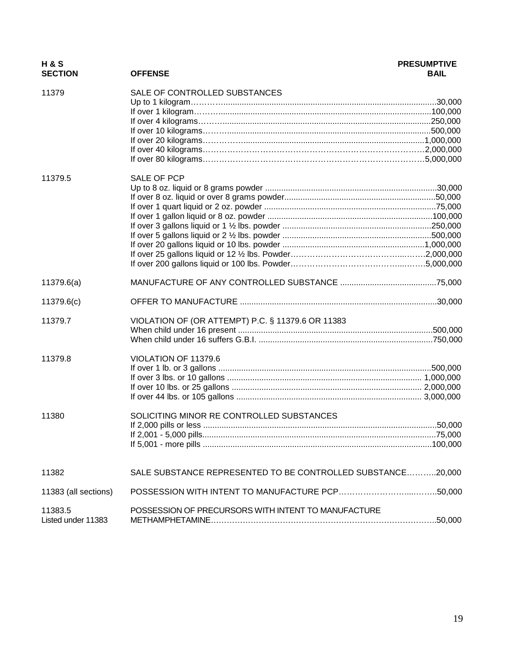| <b>H&amp;S</b><br><b>SECTION</b> | <b>OFFENSE</b>                                              | <b>PRESUMPTIVE</b><br><b>BAIL</b> |
|----------------------------------|-------------------------------------------------------------|-----------------------------------|
| 11379                            | SALE OF CONTROLLED SUBSTANCES                               |                                   |
|                                  |                                                             |                                   |
|                                  |                                                             |                                   |
|                                  |                                                             |                                   |
|                                  |                                                             |                                   |
|                                  |                                                             |                                   |
|                                  |                                                             |                                   |
| 11379.5                          | <b>SALE OF PCP</b>                                          |                                   |
|                                  |                                                             |                                   |
|                                  |                                                             |                                   |
|                                  |                                                             |                                   |
|                                  |                                                             |                                   |
|                                  |                                                             |                                   |
|                                  |                                                             |                                   |
|                                  |                                                             |                                   |
|                                  |                                                             |                                   |
|                                  |                                                             |                                   |
| 11379.6(a)                       |                                                             |                                   |
| 11379.6(c)                       |                                                             |                                   |
| 11379.7                          | VIOLATION OF (OR ATTEMPT) P.C. § 11379.6 OR 11383           |                                   |
|                                  |                                                             |                                   |
|                                  |                                                             |                                   |
| 11379.8                          | VIOLATION OF 11379.6                                        |                                   |
|                                  |                                                             |                                   |
|                                  |                                                             |                                   |
|                                  |                                                             |                                   |
|                                  |                                                             |                                   |
| 11380                            | SOLICITING MINOR RE CONTROLLED SUBSTANCES                   |                                   |
|                                  |                                                             |                                   |
|                                  |                                                             |                                   |
| 11382                            | SALE SUBSTANCE REPRESENTED TO BE CONTROLLED SUBSTANCE20,000 |                                   |
| 11383 (all sections)             |                                                             |                                   |
| 11383.5<br>Listed under 11383    | POSSESSION OF PRECURSORS WITH INTENT TO MANUFACTURE         |                                   |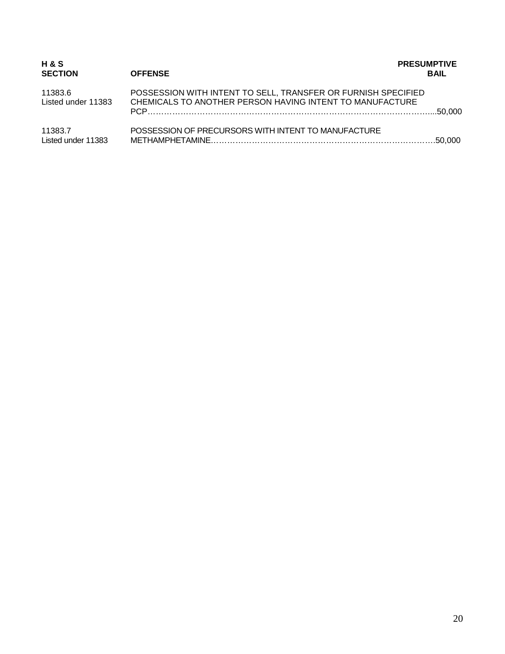| H & S<br><b>SECTION</b>       | <b>OFFENSE</b>                                                                                                            | <b>PRESUMPTIVE</b><br><b>BAIL</b> |
|-------------------------------|---------------------------------------------------------------------------------------------------------------------------|-----------------------------------|
| 11383.6<br>Listed under 11383 | POSSESSION WITH INTENT TO SELL, TRANSFER OR FURNISH SPECIFIED<br>CHEMICALS TO ANOTHER PERSON HAVING INTENT TO MANUFACTURE |                                   |
| 11383.7<br>Listed under 11383 | POSSESSION OF PRECURSORS WITH INTENT TO MANUFACTURE                                                                       |                                   |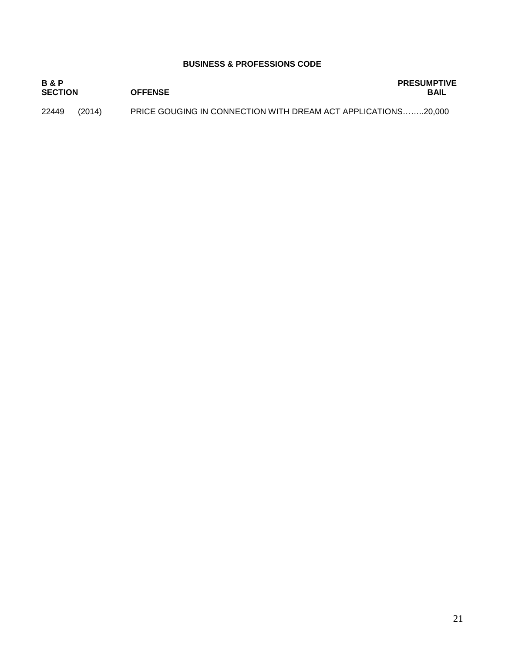#### **BUSINESS & PROFESSIONS CODE**

| <b>B&amp;P</b><br><b>SECTION</b> |        | <b>OFFENSE</b>                                                       | <b>PRESUMPTIVE</b><br><b>BAIL</b> |
|----------------------------------|--------|----------------------------------------------------------------------|-----------------------------------|
| 22449                            | (2014) | <b>PRICE GOUGING IN CONNECTION WITH DREAM ACT APPLICATIONS20.000</b> |                                   |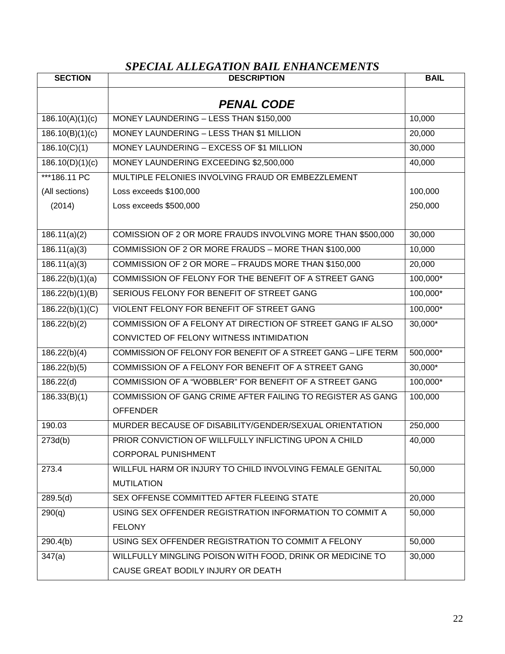# *SPECIAL ALLEGATION BAIL ENHANCEMENTS*

| <b>SECTION</b>            | <b>DESCRIPTION</b>                                            | <b>BAIL</b> |
|---------------------------|---------------------------------------------------------------|-------------|
|                           | <b>PENAL CODE</b>                                             |             |
| 186.10(A)(1)(c)           | MONEY LAUNDERING - LESS THAN \$150,000                        | 10,000      |
| 186.10(B)(1)(c)           | MONEY LAUNDERING - LESS THAN \$1 MILLION                      | 20,000      |
| 186.10(C)(1)              | MONEY LAUNDERING - EXCESS OF \$1 MILLION                      | 30,000      |
| 186.10(D)(1)(c)           | MONEY LAUNDERING EXCEEDING \$2,500,000                        | 40,000      |
| ***186.11 PC              | MULTIPLE FELONIES INVOLVING FRAUD OR EMBEZZLEMENT             |             |
| (All sections)            | Loss exceeds \$100,000                                        | 100,000     |
| (2014)                    | Loss exceeds \$500,000                                        | 250,000     |
|                           |                                                               |             |
| 186.11(a)(2)              | COMISSION OF 2 OR MORE FRAUDS INVOLVING MORE THAN \$500,000   | 30,000      |
| $\overline{186.11(a)(3)}$ | COMMISSION OF 2 OR MORE FRAUDS - MORE THAN \$100,000          | 10,000      |
| 186.11(a)(3)              | COMMISSION OF 2 OR MORE - FRAUDS MORE THAN \$150,000          | 20,000      |
| 186.22(b)(1)(a)           | COMMISSION OF FELONY FOR THE BENEFIT OF A STREET GANG         | 100,000*    |
| 186.22(b)(1)(B)           | SERIOUS FELONY FOR BENEFIT OF STREET GANG                     | 100,000*    |
| 186.22(b)(1)(C)           | VIOLENT FELONY FOR BENEFIT OF STREET GANG                     | 100,000*    |
| 186.22(b)(2)              | COMMISSION OF A FELONY AT DIRECTION OF STREET GANG IF ALSO    | 30,000*     |
|                           | CONVICTED OF FELONY WITNESS INTIMIDATION                      |             |
| 186.22(b)(4)              | COMMISSION OF FELONY FOR BENEFIT OF A STREET GANG - LIFE TERM | 500,000*    |
| 186.22(b)(5)              | COMMISSION OF A FELONY FOR BENEFIT OF A STREET GANG           | 30,000*     |
| 186.22(d)                 | COMMISSION OF A "WOBBLER" FOR BENEFIT OF A STREET GANG        | 100,000*    |
| 186.33(B)(1)              | COMMISSION OF GANG CRIME AFTER FAILING TO REGISTER AS GANG    | 100,000     |
|                           | <b>OFFENDER</b>                                               |             |
| 190.03                    | MURDER BECAUSE OF DISABILITY/GENDER/SEXUAL ORIENTATION        | 250,000     |
| 273d(b)                   | PRIOR CONVICTION OF WILLFULLY INFLICTING UPON A CHILD         | 40,000      |
|                           | <b>CORPORAL PUNISHMENT</b>                                    |             |
| 273.4                     | WILLFUL HARM OR INJURY TO CHILD INVOLVING FEMALE GENITAL      | 50,000      |
|                           | <b>MUTILATION</b>                                             |             |
| 289.5(d)                  | SEX OFFENSE COMMITTED AFTER FLEEING STATE                     | 20,000      |
| 290(q)                    | USING SEX OFFENDER REGISTRATION INFORMATION TO COMMIT A       | 50,000      |
|                           | <b>FELONY</b>                                                 |             |
| 290.4(b)                  | USING SEX OFFENDER REGISTRATION TO COMMIT A FELONY            | 50,000      |
| 347(a)                    | WILLFULLY MINGLING POISON WITH FOOD, DRINK OR MEDICINE TO     | 30,000      |
|                           | CAUSE GREAT BODILY INJURY OR DEATH                            |             |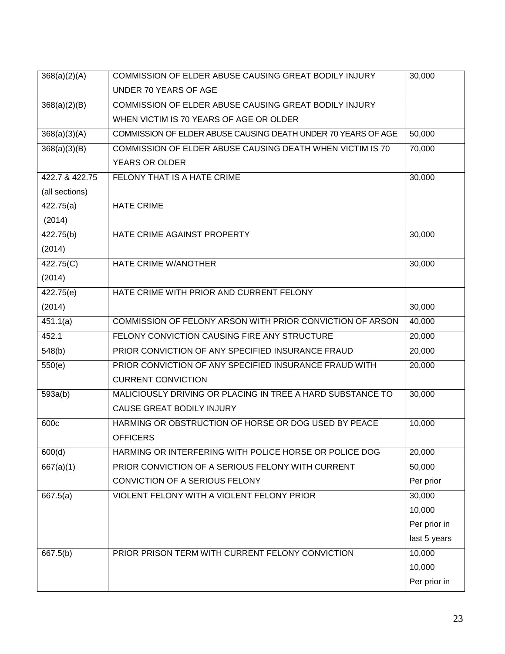| 368(a)(2)(A)   | COMMISSION OF ELDER ABUSE CAUSING GREAT BODILY INJURY         | 30,000       |
|----------------|---------------------------------------------------------------|--------------|
|                | UNDER 70 YEARS OF AGE                                         |              |
| 368(a)(2)(B)   | COMMISSION OF ELDER ABUSE CAUSING GREAT BODILY INJURY         |              |
|                | WHEN VICTIM IS 70 YEARS OF AGE OR OLDER                       |              |
| 368(a)(3)(A)   | COMMISSION OF ELDER ABUSE CAUSING DEATH UNDER 70 YEARS OF AGE | 50,000       |
| 368(a)(3)(B)   | COMMISSION OF ELDER ABUSE CAUSING DEATH WHEN VICTIM IS 70     | 70,000       |
|                | <b>YEARS OR OLDER</b>                                         |              |
| 422.7 & 422.75 | FELONY THAT IS A HATE CRIME                                   | 30,000       |
| (all sections) |                                                               |              |
| 422.75(a)      | <b>HATE CRIME</b>                                             |              |
| (2014)         |                                                               |              |
| 422.75(b)      | HATE CRIME AGAINST PROPERTY                                   | 30,000       |
| (2014)         |                                                               |              |
| 422.75(C)      | <b>HATE CRIME W/ANOTHER</b>                                   | 30,000       |
| (2014)         |                                                               |              |
| 422.75(e)      | HATE CRIME WITH PRIOR AND CURRENT FELONY                      |              |
| (2014)         |                                                               | 30,000       |
| 451.1(a)       | COMMISSION OF FELONY ARSON WITH PRIOR CONVICTION OF ARSON     | 40,000       |
| 452.1          | FELONY CONVICTION CAUSING FIRE ANY STRUCTURE                  | 20,000       |
| 548(b)         | PRIOR CONVICTION OF ANY SPECIFIED INSURANCE FRAUD             | 20,000       |
| 550(e)         | PRIOR CONVICTION OF ANY SPECIFIED INSURANCE FRAUD WITH        | 20,000       |
|                | <b>CURRENT CONVICTION</b>                                     |              |
| 593a(b)        | MALICIOUSLY DRIVING OR PLACING IN TREE A HARD SUBSTANCE TO    | 30,000       |
|                | CAUSE GREAT BODILY INJURY                                     |              |
| 600c           | HARMING OR OBSTRUCTION OF HORSE OR DOG USED BY PEACE          | 10,000       |
|                | <b>OFFICERS</b>                                               |              |
| 600(d)         | HARMING OR INTERFERING WITH POLICE HORSE OR POLICE DOG        | 20,000       |
| 667(a)(1)      | PRIOR CONVICTION OF A SERIOUS FELONY WITH CURRENT             | 50,000       |
|                | CONVICTION OF A SERIOUS FELONY                                | Per prior    |
| 667.5(a)       | VIOLENT FELONY WITH A VIOLENT FELONY PRIOR                    | 30,000       |
|                |                                                               | 10,000       |
|                |                                                               | Per prior in |
|                |                                                               | last 5 years |
| 667.5(b)       | PRIOR PRISON TERM WITH CURRENT FELONY CONVICTION              | 10,000       |
|                |                                                               | 10,000       |
|                |                                                               | Per prior in |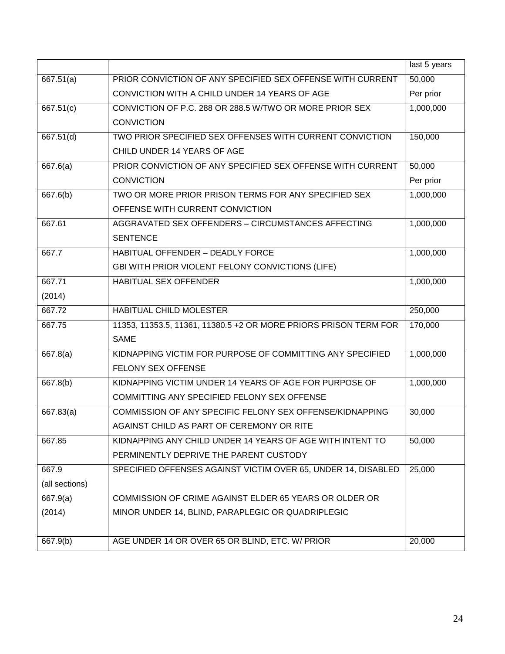|                |                                                                  | last 5 years |
|----------------|------------------------------------------------------------------|--------------|
| 667.51(a)      | PRIOR CONVICTION OF ANY SPECIFIED SEX OFFENSE WITH CURRENT       | 50,000       |
|                | CONVICTION WITH A CHILD UNDER 14 YEARS OF AGE                    | Per prior    |
| 667.51(c)      | CONVICTION OF P.C. 288 OR 288.5 W/TWO OR MORE PRIOR SEX          | 1,000,000    |
|                | <b>CONVICTION</b>                                                |              |
| 667.51(d)      | TWO PRIOR SPECIFIED SEX OFFENSES WITH CURRENT CONVICTION         | 150,000      |
|                | CHILD UNDER 14 YEARS OF AGE                                      |              |
| 667.6(a)       | PRIOR CONVICTION OF ANY SPECIFIED SEX OFFENSE WITH CURRENT       | 50,000       |
|                | <b>CONVICTION</b>                                                | Per prior    |
| 667.6(b)       | TWO OR MORE PRIOR PRISON TERMS FOR ANY SPECIFIED SEX             | 1,000,000    |
|                | OFFENSE WITH CURRENT CONVICTION                                  |              |
| 667.61         | AGGRAVATED SEX OFFENDERS - CIRCUMSTANCES AFFECTING               | 1,000,000    |
|                | <b>SENTENCE</b>                                                  |              |
| 667.7          | <b>HABITUAL OFFENDER - DEADLY FORCE</b>                          | 1,000,000    |
|                | GBI WITH PRIOR VIOLENT FELONY CONVICTIONS (LIFE)                 |              |
| 667.71         | <b>HABITUAL SEX OFFENDER</b>                                     | 1,000,000    |
| (2014)         |                                                                  |              |
| 667.72         | <b>HABITUAL CHILD MOLESTER</b>                                   | 250,000      |
| 667.75         | 11353, 11353.5, 11361, 11380.5 +2 OR MORE PRIORS PRISON TERM FOR | 170,000      |
|                | <b>SAME</b>                                                      |              |
| 667.8(a)       | KIDNAPPING VICTIM FOR PURPOSE OF COMMITTING ANY SPECIFIED        | 1,000,000    |
|                | <b>FELONY SEX OFFENSE</b>                                        |              |
| 667.8(b)       | KIDNAPPING VICTIM UNDER 14 YEARS OF AGE FOR PURPOSE OF           | 1,000,000    |
|                | COMMITTING ANY SPECIFIED FELONY SEX OFFENSE                      |              |
| 667.83(a)      | COMMISSION OF ANY SPECIFIC FELONY SEX OFFENSE/KIDNAPPING         | 30,000       |
|                | AGAINST CHILD AS PART OF CEREMONY OR RITE                        |              |
| 667.85         | KIDNAPPING ANY CHILD UNDER 14 YEARS OF AGE WITH INTENT TO        | 50,000       |
|                | PERMINENTLY DEPRIVE THE PARENT CUSTODY                           |              |
| 667.9          | SPECIFIED OFFENSES AGAINST VICTIM OVER 65, UNDER 14, DISABLED    | 25,000       |
| (all sections) |                                                                  |              |
| 667.9(a)       | COMMISSION OF CRIME AGAINST ELDER 65 YEARS OR OLDER OR           |              |
| (2014)         | MINOR UNDER 14, BLIND, PARAPLEGIC OR QUADRIPLEGIC                |              |
|                |                                                                  |              |
| 667.9(b)       | AGE UNDER 14 OR OVER 65 OR BLIND, ETC. W/ PRIOR                  | 20,000       |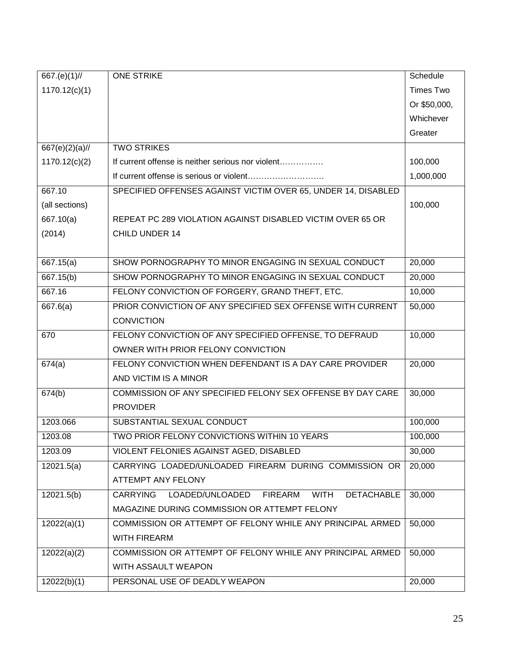| 667.(e)(1)//      | <b>ONE STRIKE</b>                                                    | Schedule     |
|-------------------|----------------------------------------------------------------------|--------------|
| 1170.12(c)(1)     |                                                                      | Times Two    |
|                   |                                                                      | Or \$50,000, |
|                   |                                                                      | Whichever    |
|                   |                                                                      | Greater      |
| $667(e)(2)(a)$ // | <b>TWO STRIKES</b>                                                   |              |
| 1170.12(c)(2)     | If current offense is neither serious nor violent                    | 100,000      |
|                   |                                                                      | 1,000,000    |
| 667.10            | SPECIFIED OFFENSES AGAINST VICTIM OVER 65, UNDER 14, DISABLED        |              |
| (all sections)    |                                                                      | 100,000      |
| 667.10(a)         | REPEAT PC 289 VIOLATION AGAINST DISABLED VICTIM OVER 65 OR           |              |
| (2014)            | <b>CHILD UNDER 14</b>                                                |              |
|                   |                                                                      |              |
| 667.15(a)         | SHOW PORNOGRAPHY TO MINOR ENGAGING IN SEXUAL CONDUCT                 | 20,000       |
| 667.15(b)         | SHOW PORNOGRAPHY TO MINOR ENGAGING IN SEXUAL CONDUCT                 | 20,000       |
| 667.16            | FELONY CONVICTION OF FORGERY, GRAND THEFT, ETC.                      | 10,000       |
| 667.6(a)          | PRIOR CONVICTION OF ANY SPECIFIED SEX OFFENSE WITH CURRENT           | 50,000       |
|                   | <b>CONVICTION</b>                                                    |              |
| 670               | FELONY CONVICTION OF ANY SPECIFIED OFFENSE, TO DEFRAUD               | 10,000       |
|                   | OWNER WITH PRIOR FELONY CONVICTION                                   |              |
| 674(a)            | FELONY CONVICTION WHEN DEFENDANT IS A DAY CARE PROVIDER              | 20,000       |
|                   | AND VICTIM IS A MINOR                                                |              |
| 674(b)            | COMMISSION OF ANY SPECIFIED FELONY SEX OFFENSE BY DAY CARE           | 30,000       |
|                   | <b>PROVIDER</b>                                                      |              |
| 1203.066          | SUBSTANTIAL SEXUAL CONDUCT                                           | 100,000      |
| 1203.08           | TWO PRIOR FELONY CONVICTIONS WITHIN 10 YEARS                         | 100,000      |
| 1203.09           | VIOLENT FELONIES AGAINST AGED, DISABLED                              | 30,000       |
| 12021.5(a)        | CARRYING LOADED/UNLOADED FIREARM DURING COMMISSION OR                | 20,000       |
|                   | ATTEMPT ANY FELONY                                                   |              |
| 12021.5(b)        | CARRYING LOADED/UNLOADED FIREARM<br><b>WITH</b><br><b>DETACHABLE</b> | 30,000       |
|                   | MAGAZINE DURING COMMISSION OR ATTEMPT FELONY                         |              |
| 12022(a)(1)       | COMMISSION OR ATTEMPT OF FELONY WHILE ANY PRINCIPAL ARMED            | 50,000       |
|                   | <b>WITH FIREARM</b>                                                  |              |
| 12022(a)(2)       | COMMISSION OR ATTEMPT OF FELONY WHILE ANY PRINCIPAL ARMED            | 50,000       |
|                   | WITH ASSAULT WEAPON                                                  |              |
| 12022(b)(1)       | PERSONAL USE OF DEADLY WEAPON                                        | 20,000       |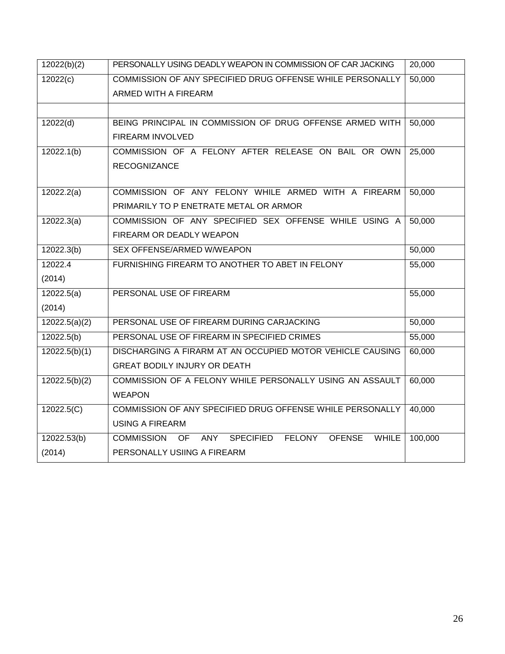| 12022(b)(2)   | PERSONALLY USING DEADLY WEAPON IN COMMISSION OF CAR JACKING                                    | 20,000  |
|---------------|------------------------------------------------------------------------------------------------|---------|
| 12022(c)      | COMMISSION OF ANY SPECIFIED DRUG OFFENSE WHILE PERSONALLY                                      | 50,000  |
|               | ARMED WITH A FIREARM                                                                           |         |
|               |                                                                                                |         |
| 12022(d)      | BEING PRINCIPAL IN COMMISSION OF DRUG OFFENSE ARMED WITH                                       | 50,000  |
|               | FIREARM INVOLVED                                                                               |         |
| 12022.1(b)    | COMMISSION OF A FELONY AFTER RELEASE ON BAIL OR OWN                                            | 25,000  |
|               | <b>RECOGNIZANCE</b>                                                                            |         |
|               |                                                                                                |         |
| 12022.2(a)    | COMMISSION OF ANY FELONY WHILE ARMED WITH A FIREARM                                            | 50,000  |
|               | PRIMARILY TO P ENETRATE METAL OR ARMOR                                                         |         |
| 12022.3(a)    | COMMISSION OF ANY SPECIFIED SEX OFFENSE WHILE USING A                                          | 50,000  |
|               | FIREARM OR DEADLY WEAPON                                                                       |         |
| 12022.3(b)    | SEX OFFENSE/ARMED W/WEAPON                                                                     | 50,000  |
| 12022.4       | FURNISHING FIREARM TO ANOTHER TO ABET IN FELONY                                                | 55,000  |
| (2014)        |                                                                                                |         |
| 12022.5(a)    | PERSONAL USE OF FIREARM                                                                        | 55,000  |
| (2014)        |                                                                                                |         |
| 12022.5(a)(2) | PERSONAL USE OF FIREARM DURING CARJACKING                                                      | 50,000  |
| 12022.5(b)    | PERSONAL USE OF FIREARM IN SPECIFIED CRIMES                                                    | 55,000  |
| 12022.5(b)(1) | DISCHARGING A FIRARM AT AN OCCUPIED MOTOR VEHICLE CAUSING                                      | 60,000  |
|               | <b>GREAT BODILY INJURY OR DEATH</b>                                                            |         |
| 12022.5(b)(2) | COMMISSION OF A FELONY WHILE PERSONALLY USING AN ASSAULT                                       | 60,000  |
|               | <b>WEAPON</b>                                                                                  |         |
| 12022.5(C)    | COMMISSION OF ANY SPECIFIED DRUG OFFENSE WHILE PERSONALLY                                      | 40,000  |
|               | <b>USING A FIREARM</b>                                                                         |         |
| 12022.53(b)   | <b>SPECIFIED</b><br><b>FELONY</b><br><b>OFENSE</b><br>WHILE<br><b>COMMISSION</b><br>ANY<br>OF. | 100,000 |
| (2014)        | PERSONALLY USIING A FIREARM                                                                    |         |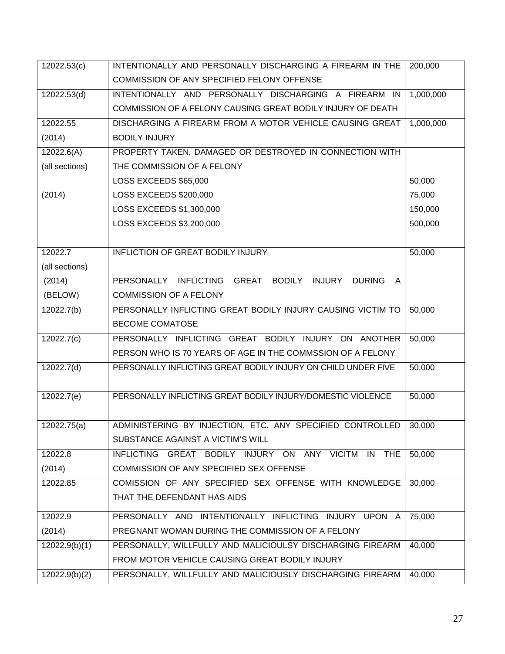| 12022.53(c)    | INTENTIONALLY AND PERSONALLY DISCHARGING A FIREARM IN THE<br>200,000  |           |  |
|----------------|-----------------------------------------------------------------------|-----------|--|
|                | COMMISSION OF ANY SPECIFIED FELONY OFFENSE                            |           |  |
| 12022.53(d)    | INTENTIONALLY AND PERSONALLY DISCHARGING A FIREARM IN                 | 1,000,000 |  |
|                | COMMISSION OF A FELONY CAUSING GREAT BODILY INJURY OF DEATH           |           |  |
| 12022.55       | DISCHARGING A FIREARM FROM A MOTOR VEHICLE CAUSING GREAT              | 1,000,000 |  |
| (2014)         | <b>BODILY INJURY</b>                                                  |           |  |
| 12022.6(A)     | PROPERTY TAKEN, DAMAGED OR DESTROYED IN CONNECTION WITH               |           |  |
| (all sections) | THE COMMISSION OF A FELONY                                            |           |  |
|                | LOSS EXCEEDS \$65,000                                                 | 50,000    |  |
| (2014)         | LOSS EXCEEDS \$200,000                                                | 75,000    |  |
|                | LOSS EXCEEDS \$1,300,000                                              | 150,000   |  |
|                | LOSS EXCEEDS \$3,200,000                                              | 500,000   |  |
|                |                                                                       |           |  |
| 12022.7        | <b>INFLICTION OF GREAT BODILY INJURY</b>                              | 50,000    |  |
| (all sections) |                                                                       |           |  |
| (2014)         | PERSONALLY INFLICTING GREAT BODILY INJURY DURING<br>$\mathsf{A}$      |           |  |
| (BELOW)        | <b>COMMISSION OF A FELONY</b>                                         |           |  |
| 12022.7(b)     | PERSONALLY INFLICTING GREAT BODILY INJURY CAUSING VICTIM TO           | 50,000    |  |
|                | BECOME COMATOSE                                                       |           |  |
| 12022.7(c)     | PERSONALLY INFLICTING GREAT BODILY INJURY ON ANOTHER                  | 50,000    |  |
|                | PERSON WHO IS 70 YEARS OF AGE IN THE COMMSSION OF A FELONY            |           |  |
| 12022.7(d)     | PERSONALLY INFLICTING GREAT BODILY INJURY ON CHILD UNDER FIVE         | 50,000    |  |
|                |                                                                       |           |  |
| 12022.7(e)     | PERSONALLY INFLICTING GREAT BODILY INJURY/DOMESTIC VIOLENCE<br>50,000 |           |  |
|                |                                                                       |           |  |
| 12022.75(a)    | ADMINISTERING BY INJECTION, ETC. ANY SPECIFIED CONTROLLED             | 30,000    |  |
|                | SUBSTANCE AGAINST A VICTIM'S WILL                                     |           |  |
| 12022.8        | INFLICTING GREAT BODILY INJURY ON ANY VICITM IN THE                   | 50,000    |  |
| (2014)         | COMMISSION OF ANY SPECIFIED SEX OFFENSE                               |           |  |
| 12022.85       | COMISSION OF ANY SPECIFIED SEX OFFENSE WITH KNOWLEDGE                 | 30,000    |  |
|                | THAT THE DEFENDANT HAS AIDS                                           |           |  |
| 12022.9        | PERSONALLY AND INTENTIONALLY INFLICTING INJURY UPON A                 | 75,000    |  |
| (2014)         | PREGNANT WOMAN DURING THE COMMISSION OF A FELONY                      |           |  |
| 12022.9(b)(1)  | 40,000<br>PERSONALLY, WILLFULLY AND MALICIOULSY DISCHARGING FIREARM   |           |  |
|                | FROM MOTOR VEHICLE CAUSING GREAT BODILY INJURY                        |           |  |
| 12022.9(b)(2)  | PERSONALLY, WILLFULLY AND MALICIOUSLY DISCHARGING FIREARM             | 40,000    |  |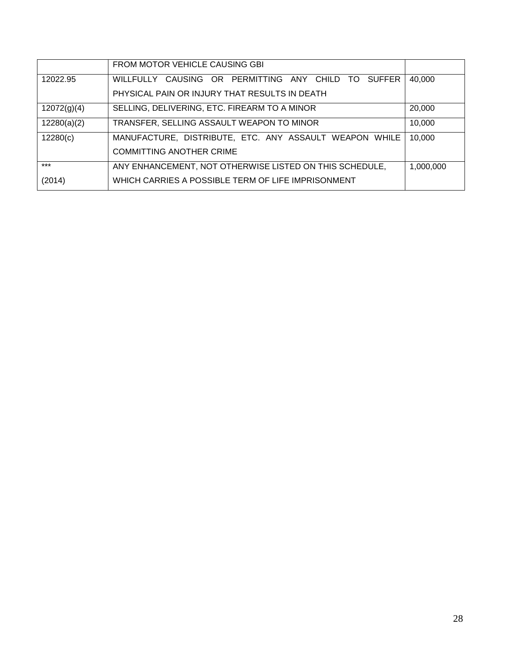|             | FROM MOTOR VEHICLE CAUSING GBI                          |           |
|-------------|---------------------------------------------------------|-----------|
| 12022.95    | WILLFULLY CAUSING OR PERMITTING ANY CHILD TO SUFFER     | 40,000    |
|             | PHYSICAL PAIN OR INJURY THAT RESULTS IN DEATH           |           |
| 12072(g)(4) | SELLING, DELIVERING, ETC. FIREARM TO A MINOR            | 20,000    |
| 12280(a)(2) | TRANSFER, SELLING ASSAULT WEAPON TO MINOR               | 10,000    |
| 12280(c)    | MANUFACTURE, DISTRIBUTE, ETC. ANY ASSAULT WEAPON WHILE  | 10,000    |
|             | <b>COMMITTING ANOTHER CRIME</b>                         |           |
| $***$       | ANY ENHANCEMENT, NOT OTHERWISE LISTED ON THIS SCHEDULE, | 1,000,000 |
| (2014)      | WHICH CARRIES A POSSIBLE TERM OF LIFE IMPRISONMENT      |           |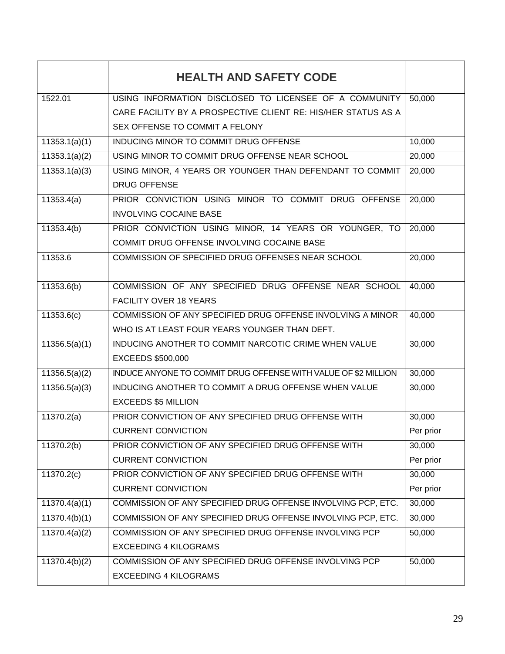|               | <b>HEALTH AND SAFETY CODE</b>                                  |           |
|---------------|----------------------------------------------------------------|-----------|
| 1522.01       | USING INFORMATION DISCLOSED TO LICENSEE OF A COMMUNITY         | 50,000    |
|               | CARE FACILITY BY A PROSPECTIVE CLIENT RE: HIS/HER STATUS AS A  |           |
|               | SEX OFFENSE TO COMMIT A FELONY                                 |           |
| 11353.1(a)(1) | INDUCING MINOR TO COMMIT DRUG OFFENSE                          | 10,000    |
| 11353.1(a)(2) | USING MINOR TO COMMIT DRUG OFFENSE NEAR SCHOOL                 | 20,000    |
| 11353.1(a)(3) | USING MINOR, 4 YEARS OR YOUNGER THAN DEFENDANT TO COMMIT       | 20,000    |
|               | <b>DRUG OFFENSE</b>                                            |           |
| 11353.4(a)    | PRIOR CONVICTION USING MINOR TO COMMIT DRUG OFFENSE            | 20,000    |
|               | <b>INVOLVING COCAINE BASE</b>                                  |           |
| 11353.4(b)    | PRIOR CONVICTION USING MINOR, 14 YEARS OR YOUNGER, TO          | 20,000    |
|               | COMMIT DRUG OFFENSE INVOLVING COCAINE BASE                     |           |
| 11353.6       | COMMISSION OF SPECIFIED DRUG OFFENSES NEAR SCHOOL              | 20,000    |
|               |                                                                |           |
| 11353.6(b)    | COMMISSION OF ANY SPECIFIED DRUG OFFENSE NEAR SCHOOL           | 40,000    |
|               | <b>FACILITY OVER 18 YEARS</b>                                  |           |
| 11353.6(c)    | COMMISSION OF ANY SPECIFIED DRUG OFFENSE INVOLVING A MINOR     | 40,000    |
|               | WHO IS AT LEAST FOUR YEARS YOUNGER THAN DEFT.                  |           |
| 11356.5(a)(1) | INDUCING ANOTHER TO COMMIT NARCOTIC CRIME WHEN VALUE           | 30,000    |
|               | <b>EXCEEDS \$500,000</b>                                       |           |
| 11356.5(a)(2) | INDUCE ANYONE TO COMMIT DRUG OFFENSE WITH VALUE OF \$2 MILLION | 30,000    |
| 11356.5(a)(3) | INDUCING ANOTHER TO COMMIT A DRUG OFFENSE WHEN VALUE<br>30,000 |           |
|               | <b>EXCEEDS \$5 MILLION</b>                                     |           |
| 11370.2(a)    | PRIOR CONVICTION OF ANY SPECIFIED DRUG OFFENSE WITH            | 30,000    |
|               | <b>CURRENT CONVICTION</b>                                      | Per prior |
| 11370.2(b)    | PRIOR CONVICTION OF ANY SPECIFIED DRUG OFFENSE WITH            | 30,000    |
|               | <b>CURRENT CONVICTION</b>                                      | Per prior |
| 11370.2(c)    | PRIOR CONVICTION OF ANY SPECIFIED DRUG OFFENSE WITH            | 30,000    |
|               | <b>CURRENT CONVICTION</b>                                      | Per prior |
| 11370.4(a)(1) | COMMISSION OF ANY SPECIFIED DRUG OFFENSE INVOLVING PCP, ETC.   | 30,000    |
| 11370.4(b)(1) | COMMISSION OF ANY SPECIFIED DRUG OFFENSE INVOLVING PCP, ETC.   | 30,000    |
| 11370.4(a)(2) | COMMISSION OF ANY SPECIFIED DRUG OFFENSE INVOLVING PCP         |           |
|               | <b>EXCEEDING 4 KILOGRAMS</b>                                   |           |
| 11370.4(b)(2) | COMMISSION OF ANY SPECIFIED DRUG OFFENSE INVOLVING PCP         | 50,000    |
|               | <b>EXCEEDING 4 KILOGRAMS</b>                                   |           |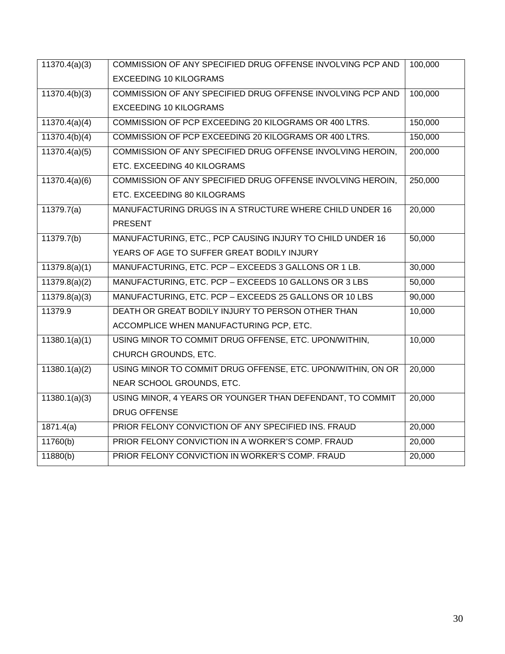| 11370.4(a)(3) | COMMISSION OF ANY SPECIFIED DRUG OFFENSE INVOLVING PCP AND<br>100,000 |         |  |  |
|---------------|-----------------------------------------------------------------------|---------|--|--|
|               | <b>EXCEEDING 10 KILOGRAMS</b>                                         |         |  |  |
| 11370.4(b)(3) | COMMISSION OF ANY SPECIFIED DRUG OFFENSE INVOLVING PCP AND            | 100,000 |  |  |
|               | <b>EXCEEDING 10 KILOGRAMS</b>                                         |         |  |  |
| 11370.4(a)(4) | COMMISSION OF PCP EXCEEDING 20 KILOGRAMS OR 400 LTRS.                 | 150,000 |  |  |
| 11370.4(b)(4) | COMMISSION OF PCP EXCEEDING 20 KILOGRAMS OR 400 LTRS.                 | 150,000 |  |  |
| 11370.4(a)(5) | COMMISSION OF ANY SPECIFIED DRUG OFFENSE INVOLVING HEROIN,            | 200,000 |  |  |
|               | ETC. EXCEEDING 40 KILOGRAMS                                           |         |  |  |
| 11370.4(a)(6) | COMMISSION OF ANY SPECIFIED DRUG OFFENSE INVOLVING HEROIN,            | 250,000 |  |  |
|               | ETC. EXCEEDING 80 KILOGRAMS                                           |         |  |  |
| 11379.7(a)    | MANUFACTURING DRUGS IN A STRUCTURE WHERE CHILD UNDER 16               | 20,000  |  |  |
|               | <b>PRESENT</b>                                                        |         |  |  |
| 11379.7(b)    | MANUFACTURING, ETC., PCP CAUSING INJURY TO CHILD UNDER 16             | 50,000  |  |  |
|               | YEARS OF AGE TO SUFFER GREAT BODILY INJURY                            |         |  |  |
| 11379.8(a)(1) | MANUFACTURING, ETC. PCP - EXCEEDS 3 GALLONS OR 1 LB.                  | 30,000  |  |  |
| 11379.8(a)(2) | MANUFACTURING, ETC. PCP - EXCEEDS 10 GALLONS OR 3 LBS                 | 50,000  |  |  |
| 11379.8(a)(3) | 90,000<br>MANUFACTURING, ETC. PCP - EXCEEDS 25 GALLONS OR 10 LBS      |         |  |  |
| 11379.9       | DEATH OR GREAT BODILY INJURY TO PERSON OTHER THAN                     |         |  |  |
|               | ACCOMPLICE WHEN MANUFACTURING PCP, ETC.                               |         |  |  |
| 11380.1(a)(1) | USING MINOR TO COMMIT DRUG OFFENSE, ETC. UPON/WITHIN,                 | 10,000  |  |  |
|               | CHURCH GROUNDS, ETC.                                                  |         |  |  |
| 11380.1(a)(2) | USING MINOR TO COMMIT DRUG OFFENSE, ETC. UPON/WITHIN, ON OR           | 20,000  |  |  |
|               | NEAR SCHOOL GROUNDS, ETC.                                             |         |  |  |
| 11380.1(a)(3) | USING MINOR, 4 YEARS OR YOUNGER THAN DEFENDANT, TO COMMIT             | 20,000  |  |  |
|               | <b>DRUG OFFENSE</b>                                                   |         |  |  |
| 1871.4(a)     | 20,000<br>PRIOR FELONY CONVICTION OF ANY SPECIFIED INS. FRAUD         |         |  |  |
| 11760(b)      | PRIOR FELONY CONVICTION IN A WORKER'S COMP. FRAUD                     |         |  |  |
| 11880(b)      | PRIOR FELONY CONVICTION IN WORKER'S COMP. FRAUD<br>20,000             |         |  |  |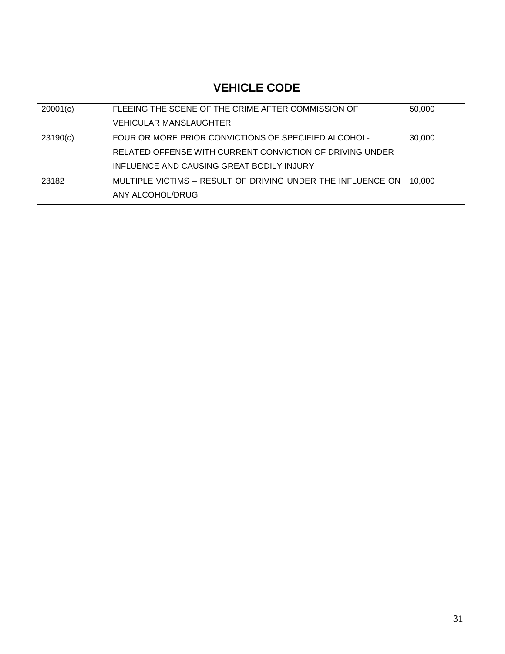|          | <b>VEHICLE CODE</b>                                         |        |
|----------|-------------------------------------------------------------|--------|
| 20001(c) | FLEEING THE SCENE OF THE CRIME AFTER COMMISSION OF          | 50,000 |
|          | VEHICULAR MANSLAUGHTER                                      |        |
| 23190(c) | FOUR OR MORE PRIOR CONVICTIONS OF SPECIFIED ALCOHOL-        | 30,000 |
|          | RELATED OFFENSE WITH CURRENT CONVICTION OF DRIVING UNDER    |        |
|          | INFLUENCE AND CAUSING GREAT BODILY INJURY                   |        |
| 23182    | MULTIPLE VICTIMS – RESULT OF DRIVING UNDER THE INFLUENCE ON | 10,000 |
|          | ANY ALCOHOL/DRUG                                            |        |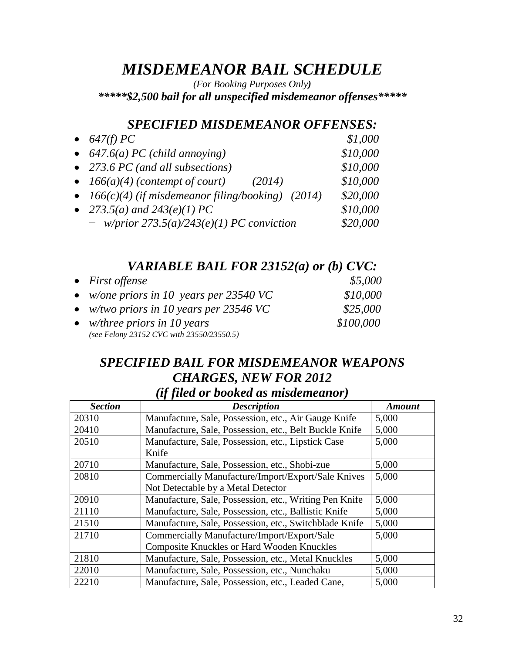# *MISDEMEANOR BAIL SCHEDULE*

*(For Booking Purposes Only)*

*\*\*\*\*\*\$2,500 bail for all unspecified misdemeanor offenses\*\*\*\*\**

### *SPECIFIED MISDEMEANOR OFFENSES:*

| • $647(f) PC$                                        | \$1,000  |
|------------------------------------------------------|----------|
| • $647.6(a) PC (child annoying)$                     | \$10,000 |
| • 273.6 PC (and all subsections)                     | \$10,000 |
| • $166(a)(4)$ (contempt of court)<br>(2014)          | \$10,000 |
| • $166(c)(4)$ (if misdemeanor filing/booking) (2014) | \$20,000 |
| • 273.5( <i>a</i> ) and $243(e)(1) PC$               | \$10,000 |
| $-$ w/prior 273.5(a)/243(e)(1) PC conviction         | \$20,000 |

## *VARIABLE BAIL FOR 23152(a) or (b) CVC:*

| • First offense                           | \$5,000   |
|-------------------------------------------|-----------|
| • w/one priors in 10 years per 23540 VC   | \$10,000  |
| • w/two priors in 10 years per 23546 VC   | \$25,000  |
| • <i>w/three priors in 10 years</i>       | \$100,000 |
| (see Felony 23152 CVC with 23550/23550.5) |           |

## *SPECIFIED BAIL FOR MISDEMEANOR WEAPONS CHARGES, NEW FOR 2012 (if filed or booked as misdemeanor)*

| <b>Section</b> | . <i>. .</i><br><b>Description</b>                     | <b>Amount</b> |
|----------------|--------------------------------------------------------|---------------|
| 20310          | Manufacture, Sale, Possession, etc., Air Gauge Knife   | 5,000         |
| 20410          | Manufacture, Sale, Possession, etc., Belt Buckle Knife | 5,000         |
| 20510          | Manufacture, Sale, Possession, etc., Lipstick Case     | 5,000         |
|                | Knife                                                  |               |
| 20710          | Manufacture, Sale, Possession, etc., Shobi-zue         | 5,000         |
| 20810          | Commercially Manufacture/Import/Export/Sale Knives     | 5,000         |
|                | Not Detectable by a Metal Detector                     |               |
| 20910          | Manufacture, Sale, Possession, etc., Writing Pen Knife | 5,000         |
| 21110          | Manufacture, Sale, Possession, etc., Ballistic Knife   | 5,000         |
| 21510          | Manufacture, Sale, Possession, etc., Switchblade Knife | 5,000         |
| 21710          | Commercially Manufacture/Import/Export/Sale            | 5,000         |
|                | <b>Composite Knuckles or Hard Wooden Knuckles</b>      |               |
| 21810          | Manufacture, Sale, Possession, etc., Metal Knuckles    | 5,000         |
| 22010          | Manufacture, Sale, Possession, etc., Nunchaku          | 5,000         |
| 22210          | Manufacture, Sale, Possession, etc., Leaded Cane,      | 5,000         |